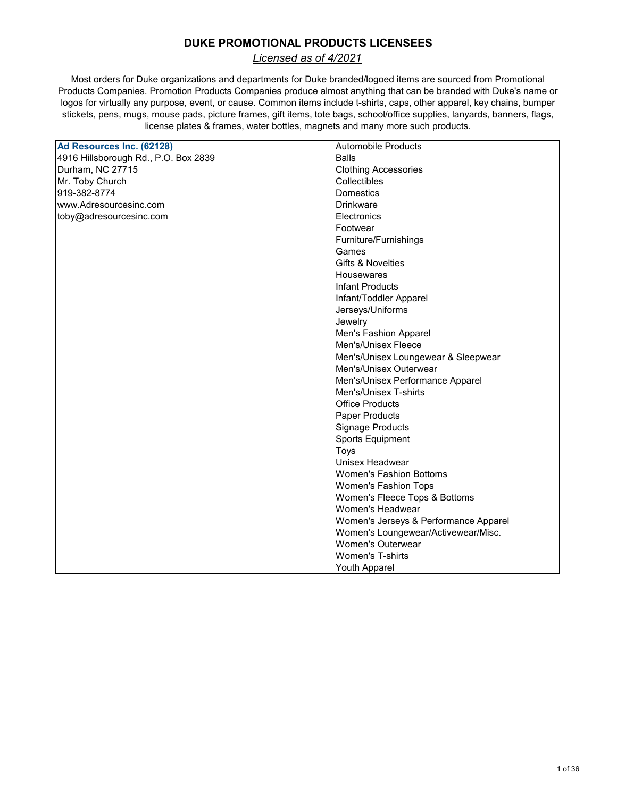# **DUKE PROMOTIONAL PRODUCTS LICENSEES**

*Licensed as of 4/2021*

Most orders for Duke organizations and departments for Duke branded/logoed items are sourced from Promotional Products Companies. Promotion Products Companies produce almost anything that can be branded with Duke's name or logos for virtually any purpose, event, or cause. Common items include t-shirts, caps, other apparel, key chains, bumper stickets, pens, mugs, mouse pads, picture frames, gift items, tote bags, school/office supplies, lanyards, banners, flags, license plates & frames, water bottles, magnets and many more such products.

| Ad Resources Inc. (62128)            | <b>Automobile Products</b>            |
|--------------------------------------|---------------------------------------|
| 4916 Hillsborough Rd., P.O. Box 2839 | <b>Balls</b>                          |
| Durham, NC 27715                     | <b>Clothing Accessories</b>           |
| Mr. Toby Church                      | Collectibles                          |
| 919-382-8774                         | <b>Domestics</b>                      |
| www.Adresourcesinc.com               | Drinkware                             |
| toby@adresourcesinc.com              | Electronics                           |
|                                      | Footwear                              |
|                                      | Furniture/Furnishings                 |
|                                      | Games                                 |
|                                      | <b>Gifts &amp; Novelties</b>          |
|                                      | <b>Housewares</b>                     |
|                                      | <b>Infant Products</b>                |
|                                      | Infant/Toddler Apparel                |
|                                      | Jerseys/Uniforms                      |
|                                      | Jewelry                               |
|                                      | Men's Fashion Apparel                 |
|                                      | Men's/Unisex Fleece                   |
|                                      | Men's/Unisex Loungewear & Sleepwear   |
|                                      | Men's/Unisex Outerwear                |
|                                      | Men's/Unisex Performance Apparel      |
|                                      | Men's/Unisex T-shirts                 |
|                                      | <b>Office Products</b>                |
|                                      | Paper Products                        |
|                                      | <b>Signage Products</b>               |
|                                      | <b>Sports Equipment</b>               |
|                                      | <b>Toys</b>                           |
|                                      | Unisex Headwear                       |
|                                      | <b>Women's Fashion Bottoms</b>        |
|                                      | Women's Fashion Tops                  |
|                                      | Women's Fleece Tops & Bottoms         |
|                                      | Women's Headwear                      |
|                                      | Women's Jerseys & Performance Apparel |
|                                      | Women's Loungewear/Activewear/Misc.   |
|                                      | <b>Women's Outerwear</b>              |
|                                      | <b>Women's T-shirts</b>               |
|                                      | Youth Apparel                         |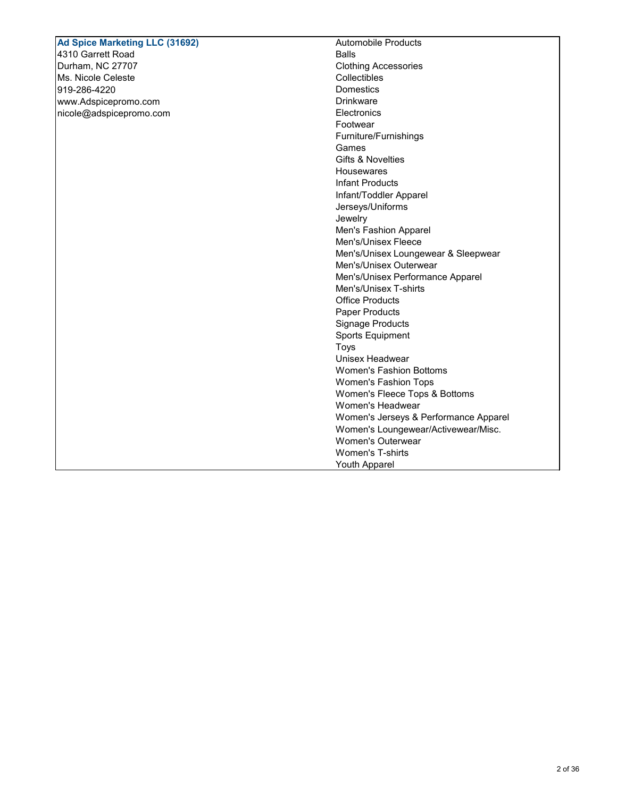#### Automobile Products Balls Clothing Accessories Collectibles **Domestics** Drinkware **Electronics** Footwear Furniture/Furnishings Games Gifts & Novelties Housewares Infant Products Infant/Toddler Apparel Jerseys/Uniforms Jewelry Men's Fashion Apparel Men's/Unisex Fleece Men's/Unisex Loungewear & Sleepwear Men's/Unisex Outerwear Men's/Unisex Performance Apparel Men's/Unisex T-shirts Office Products Paper Products Signage Products Sports Equipment Toys Unisex Headwear Women's Fashion Bottoms **Ad Spice Marketing LLC (31692)**  4310 Garrett Road Durham, NC 27707 Ms. Nicole Celeste 919-286-4220 www.Adspicepromo.com nicole@adspicepromo.com

Women's Fashion Tops

Women's Headwear

Women's Outerwear Women's T-shirts Youth Apparel

Women's Fleece Tops & Bottoms

Women's Jerseys & Performance Apparel Women's Loungewear/Activewear/Misc.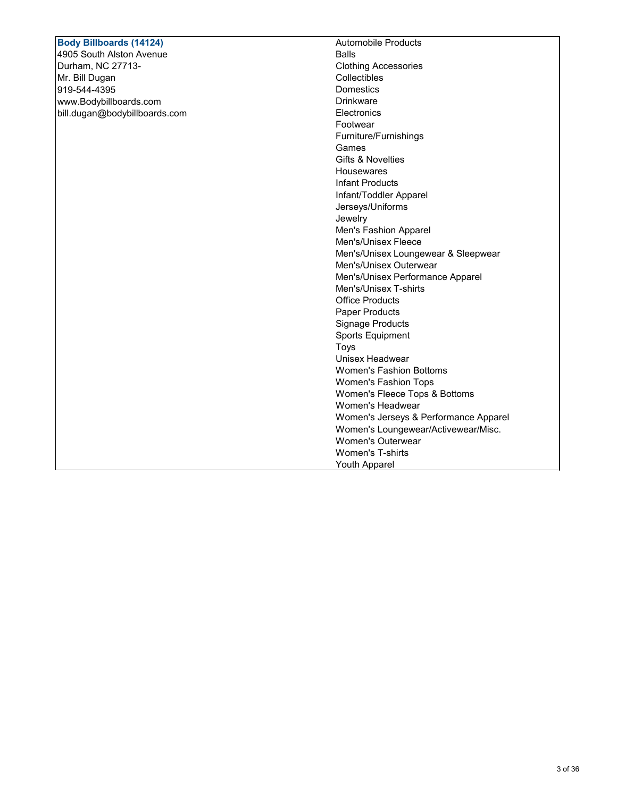## Automobile Products Balls Clothing Accessories Collectibles **Domestics** Drinkware **Electronics** Footwear Furniture/Furnishings Games Gifts & Novelties Housewares Infant Products Infant/Toddler Apparel Jerseys/Uniforms Jewelry Men's Fashion Apparel Men's/Unisex Fleece Men's/Unisex Loungewear & Sleepwear Men's/Unisex Outerwear Men's/Unisex Performance Apparel Men's/Unisex T-shirts Office Products Paper Products Signage Products Sports Equipment Toys Unisex Headwear Women's Fashion Bottoms Women's Fashion Tops Women's Fleece Tops & Bottoms Women's Headwear Women's Jerseys & Performance Apparel Women's Loungewear/Activewear/Misc. Women's Outerwear Women's T-shirts **Body Billboards (14124)**  4905 South Alston Avenue Durham, NC 27713- Mr. Bill Dugan 919-544-4395 www.Bodybillboards.com bill.dugan@bodybillboards.com

Youth Apparel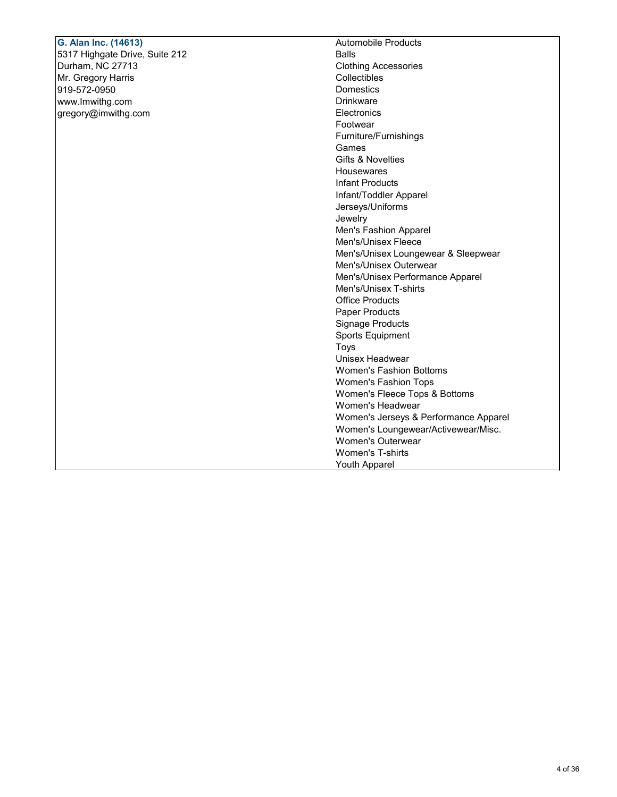## Automobile Products Balls Clothing Accessories Collectibles Domestics Drinkware **Electronics** Footwear Furniture/Furnishings Games Gifts & Novelties Housewares Infant Products Infant/Toddler Apparel Jerseys/Uniforms Jewelry Men's Fashion Apparel Men's/Unisex Fleece Men's/Unisex Loungewear & Sleepwear Men's/Unisex Outerwear Men's/Unisex Performance Apparel Men's/Unisex T-shirts Office Products Paper Products Signage Products Sports Equipment Toys Unisex Headwear Women's Fashion Bottoms Women's Fashion Tops Women's Fleece Tops & Bottoms Women's Headwear Women's Jerseys & Performance Apparel Women's Loungewear/Activewear/Misc. Women's Outerwear **G. Alan Inc. (14613)**  5317 Highgate Drive, Suite 212 Durham, NC 27713 Mr. Gregory Harris 919-572-0950 www.Imwithg.com gregory@imwithg.com

Women's T-shirts Youth Apparel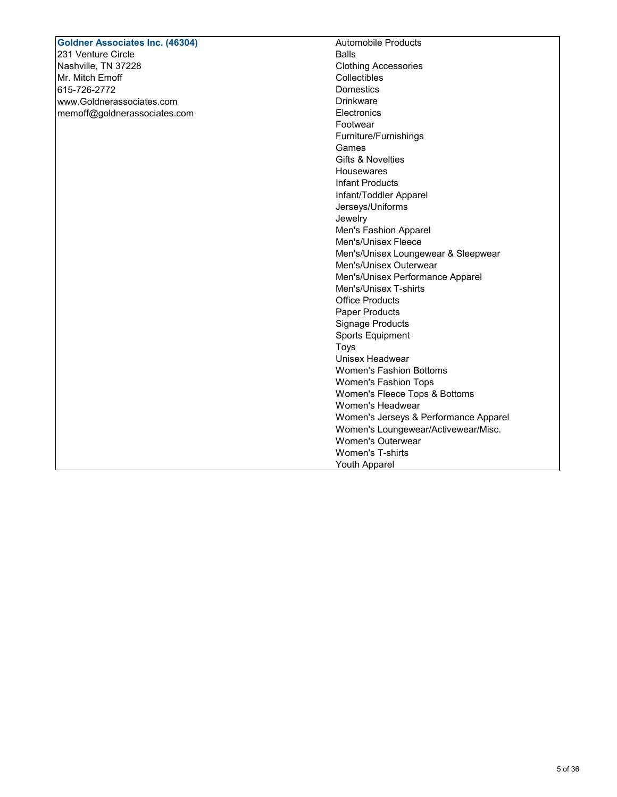## Automobile Products Balls Clothing Accessories Collectibles **Domestics** Drinkware **Electronics** Footwear Furniture/Furnishings Games Gifts & Novelties Housewares Infant Products Infant/Toddler Apparel Jerseys/Uniforms Jewelry Men's Fashion Apparel Men's/Unisex Fleece Men's/Unisex Loungewear & Sleepwear Men's/Unisex Outerwear Men's/Unisex Performance Apparel Men's/Unisex T-shirts Office Products Paper Products Signage Products Sports Equipment Toys Unisex Headwear Women's Fashion Bottoms Women's Fashion Tops Women's Fleece Tops & Bottoms Women's Headwear Women's Jerseys & Performance Apparel Women's Loungewear/Activewear/Misc. Women's Outerwear **Goldner Associates Inc. (46304)**  231 Venture Circle Nashville, TN 37228 Mr. Mitch Emoff 615-726-2772 www.Goldnerassociates.com memoff@goldnerassociates.com

Women's T-shirts Youth Apparel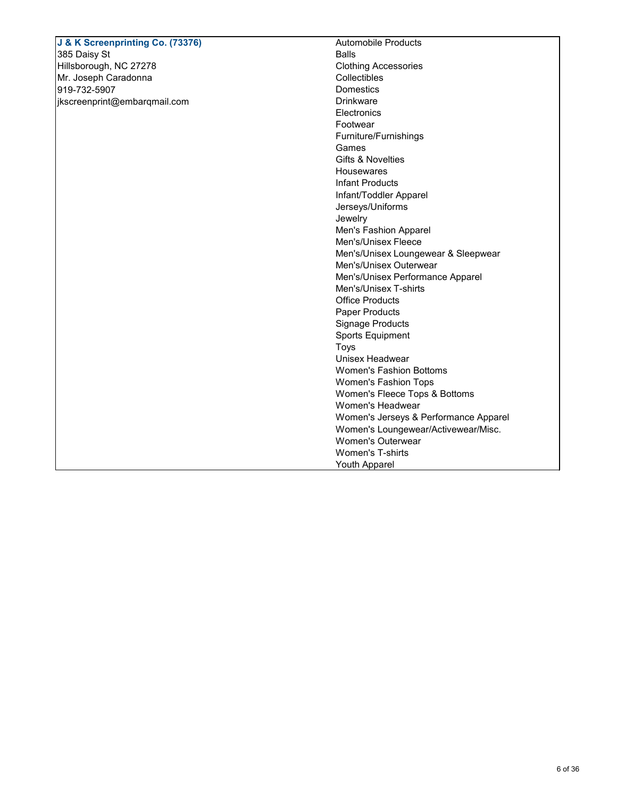| J & K Screenprinting Co. (73376) | <b>Automobile Products</b>            |
|----------------------------------|---------------------------------------|
| 385 Daisy St                     | <b>Balls</b>                          |
| Hillsborough, NC 27278           | <b>Clothing Accessories</b>           |
| Mr. Joseph Caradonna             | Collectibles                          |
| 919-732-5907                     | <b>Domestics</b>                      |
| jkscreenprint@embarqmail.com     | <b>Drinkware</b>                      |
|                                  | Electronics                           |
|                                  | Footwear                              |
|                                  | Furniture/Furnishings                 |
|                                  | Games                                 |
|                                  | <b>Gifts &amp; Novelties</b>          |
|                                  | Housewares                            |
|                                  | <b>Infant Products</b>                |
|                                  | Infant/Toddler Apparel                |
|                                  | Jerseys/Uniforms                      |
|                                  | Jewelry                               |
|                                  | Men's Fashion Apparel                 |
|                                  | Men's/Unisex Fleece                   |
|                                  | Men's/Unisex Loungewear & Sleepwear   |
|                                  | Men's/Unisex Outerwear                |
|                                  | Men's/Unisex Performance Apparel      |
|                                  | Men's/Unisex T-shirts                 |
|                                  | <b>Office Products</b>                |
|                                  | Paper Products                        |
|                                  | <b>Signage Products</b>               |
|                                  | <b>Sports Equipment</b>               |
|                                  | Toys                                  |
|                                  | Unisex Headwear                       |
|                                  | <b>Women's Fashion Bottoms</b>        |
|                                  | Women's Fashion Tops                  |
|                                  | Women's Fleece Tops & Bottoms         |
|                                  | Women's Headwear                      |
|                                  | Women's Jerseys & Performance Apparel |
|                                  | Women's Loungewear/Activewear/Misc.   |
|                                  | <b>Women's Outerwear</b>              |
|                                  | Women's T-shirts                      |
|                                  | <b>Youth Apparel</b>                  |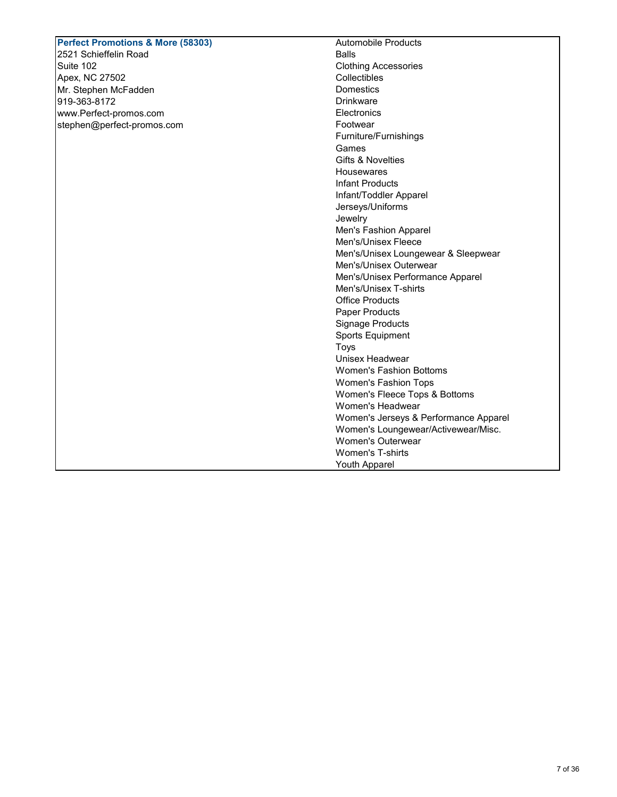#### Automobile Products Balls Clothing Accessories **Collectibles Domestics Drinkware Electronics** Footwear Furniture/Furnishings Games Gifts & Novelties Housewares Infant Products Infant/Toddler Apparel Jerseys/Uniforms Jewelry Men's Fashion Apparel Men's/Unisex Fleece Men's/Unisex Loungewear & Sleepwear Men's/Unisex Outerwear Men's/Unisex Performance Apparel Men's/Unisex T-shirts Office Products Paper Products Signage Products Sports Equipment Toys Unisex Headwear Women's Fashion Bottoms Women's Fashion Tops Women's Fleece Tops & Bottoms Women's Headwear Women's Jerseys & Performance Apparel Women's Loungewear/Activewear/Misc. Women's Outerwear Women's T-shirts **Perfect Promotions & More (58303)**  2521 Schieffelin Road Suite 102 Apex, NC 27502 Mr. Stephen McFadden 919-363-8172 www.Perfect-promos.com stephen@perfect-promos.com

Youth Apparel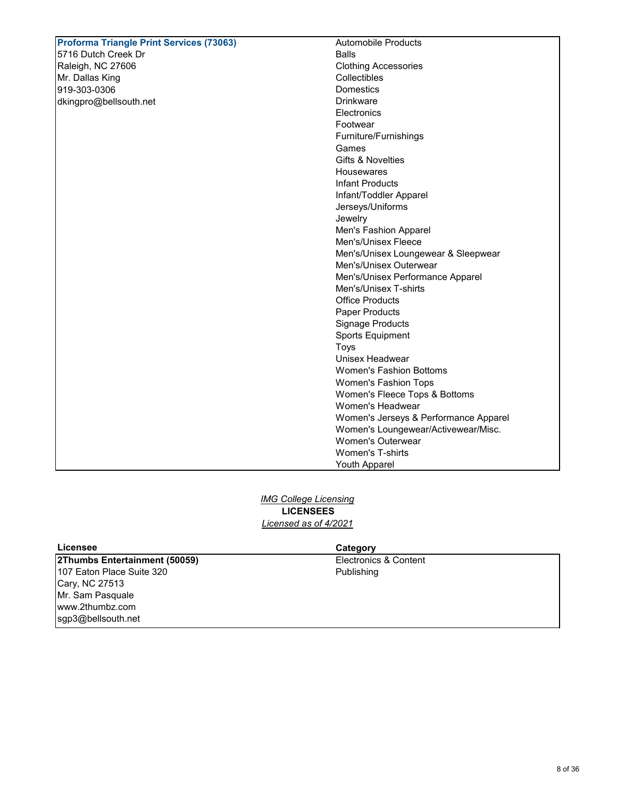| <b>Proforma Triangle Print Services (73063)</b> | <b>Automobile Products</b>            |
|-------------------------------------------------|---------------------------------------|
| 5716 Dutch Creek Dr                             | <b>Balls</b>                          |
| Raleigh, NC 27606                               | <b>Clothing Accessories</b>           |
| Mr. Dallas King                                 | Collectibles                          |
| 919-303-0306                                    | <b>Domestics</b>                      |
| dkingpro@bellsouth.net                          | <b>Drinkware</b>                      |
|                                                 | Electronics                           |
|                                                 | Footwear                              |
|                                                 | Furniture/Furnishings                 |
|                                                 | Games                                 |
|                                                 | <b>Gifts &amp; Novelties</b>          |
|                                                 | Housewares                            |
|                                                 | <b>Infant Products</b>                |
|                                                 | Infant/Toddler Apparel                |
|                                                 | Jerseys/Uniforms                      |
|                                                 | Jewelry                               |
|                                                 | Men's Fashion Apparel                 |
|                                                 | Men's/Unisex Fleece                   |
|                                                 | Men's/Unisex Loungewear & Sleepwear   |
|                                                 | Men's/Unisex Outerwear                |
|                                                 | Men's/Unisex Performance Apparel      |
|                                                 | Men's/Unisex T-shirts                 |
|                                                 | <b>Office Products</b>                |
|                                                 | <b>Paper Products</b>                 |
|                                                 | Signage Products                      |
|                                                 | <b>Sports Equipment</b>               |
|                                                 | <b>Toys</b>                           |
|                                                 | Unisex Headwear                       |
|                                                 | <b>Women's Fashion Bottoms</b>        |
|                                                 | Women's Fashion Tops                  |
|                                                 | Women's Fleece Tops & Bottoms         |
|                                                 | Women's Headwear                      |
|                                                 | Women's Jerseys & Performance Apparel |
|                                                 | Women's Loungewear/Activewear/Misc.   |
|                                                 | <b>Women's Outerwear</b>              |
|                                                 | Women's T-shirts                      |
|                                                 | <b>Youth Apparel</b>                  |

*IMG College Licensing* **LICENSEES** *Licensed as of 4/2021*

**2Thumbs Entertainment (50059)**  107 Eaton Place Suite 320 Cary, NC 27513 Mr. Sam Pasquale www.2thumbz.com sgp3@bellsouth.net

## **Licensee Category**

Electronics & Content Publishing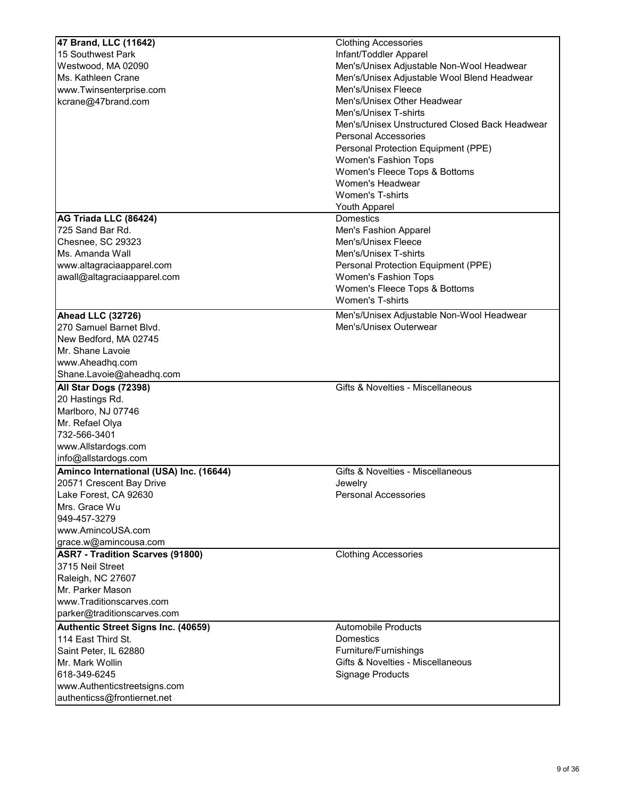| Men's/Unisex Adjustable Non-Wool Headwear      |
|------------------------------------------------|
|                                                |
|                                                |
| Men's/Unisex Adjustable Wool Blend Headwear    |
|                                                |
| Men's/Unisex Other Headwear                    |
|                                                |
| Men's/Unisex Unstructured Closed Back Headwear |
|                                                |
| Personal Protection Equipment (PPE)            |
|                                                |
| Women's Fleece Tops & Bottoms                  |
|                                                |
|                                                |
|                                                |
|                                                |
|                                                |
|                                                |
|                                                |
| Personal Protection Equipment (PPE)            |
|                                                |
| Women's Fleece Tops & Bottoms                  |
|                                                |
| Men's/Unisex Adjustable Non-Wool Headwear      |
|                                                |
|                                                |
|                                                |
|                                                |
|                                                |
| Gifts & Novelties - Miscellaneous              |
|                                                |
|                                                |
|                                                |
|                                                |
|                                                |
|                                                |
| Gifts & Novelties - Miscellaneous              |
|                                                |
|                                                |
|                                                |
|                                                |
|                                                |
|                                                |
|                                                |
|                                                |
|                                                |
|                                                |
|                                                |
|                                                |
|                                                |
|                                                |
|                                                |
| Gifts & Novelties - Miscellaneous              |
|                                                |
|                                                |
|                                                |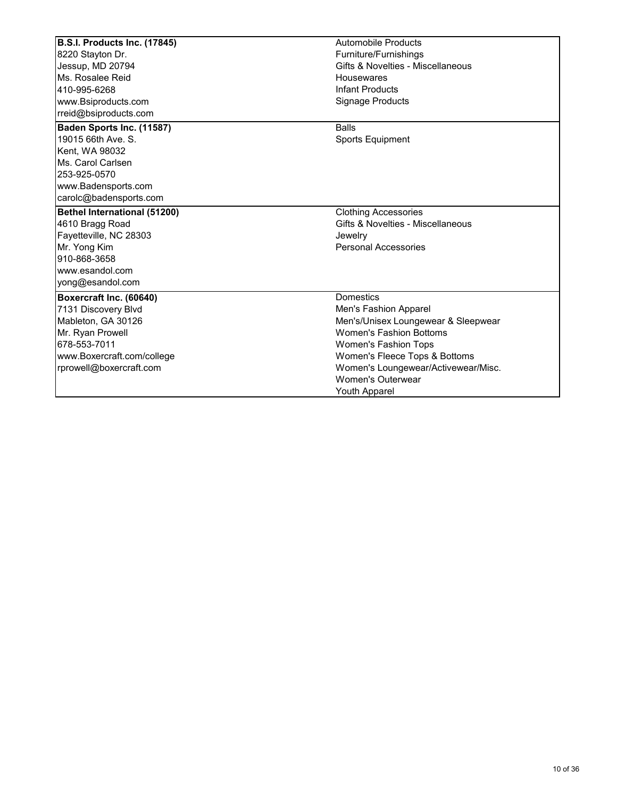| B.S.I. Products Inc. (17845)<br>8220 Stayton Dr.<br>Jessup, MD 20794<br>Ms. Rosalee Reid                                                                          | Automobile Products<br>Furniture/Furnishings<br>Gifts & Novelties - Miscellaneous<br>Housewares                                                                                                                                                                 |
|-------------------------------------------------------------------------------------------------------------------------------------------------------------------|-----------------------------------------------------------------------------------------------------------------------------------------------------------------------------------------------------------------------------------------------------------------|
| 410-995-6268<br>www.Bsiproducts.com<br>rreid@bsiproducts.com                                                                                                      | <b>Infant Products</b><br><b>Signage Products</b>                                                                                                                                                                                                               |
| Baden Sports Inc. (11587)<br>19015 66th Ave. S.<br>Kent, WA 98032<br>Ms. Carol Carlsen<br>253-925-0570<br>www.Badensports.com<br>carolc@badensports.com           | <b>Balls</b><br><b>Sports Equipment</b>                                                                                                                                                                                                                         |
| <b>Bethel International (51200)</b><br>4610 Bragg Road<br>Fayetteville, NC 28303<br>Mr. Yong Kim<br>910-868-3658<br>www.esandol.com<br>yong@esandol.com           | <b>Clothing Accessories</b><br>Gifts & Novelties - Miscellaneous<br>Jewelry<br><b>Personal Accessories</b>                                                                                                                                                      |
| Boxercraft Inc. (60640)<br>7131 Discovery Blvd<br>Mableton, GA 30126<br>Mr. Ryan Prowell<br>678-553-7011<br>www.Boxercraft.com/college<br>rprowell@boxercraft.com | <b>Domestics</b><br>Men's Fashion Apparel<br>Men's/Unisex Loungewear & Sleepwear<br><b>Women's Fashion Bottoms</b><br>Women's Fashion Tops<br>Women's Fleece Tops & Bottoms<br>Women's Loungewear/Activewear/Misc.<br><b>Women's Outerwear</b><br>Youth Apparel |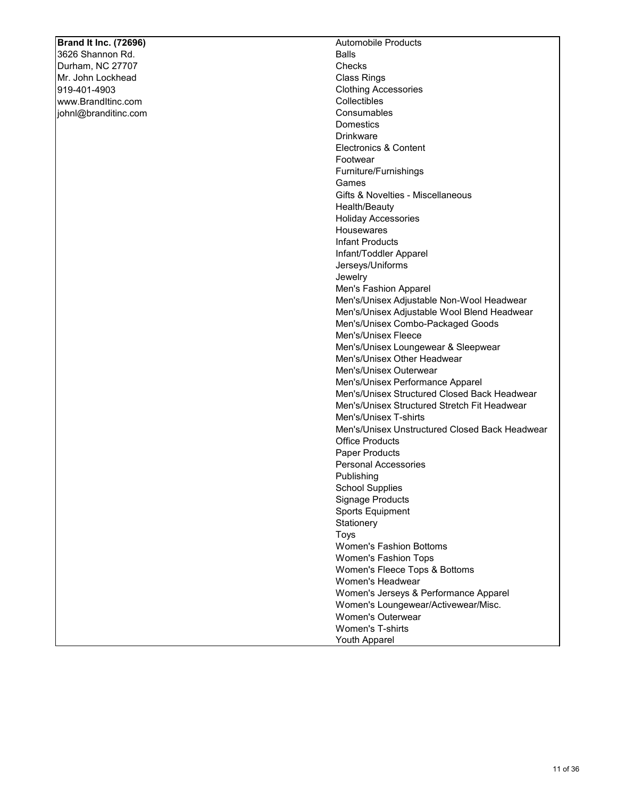## **Brand It Inc. (72696)**

3626 Shannon Rd. Durham, NC 27707 Mr. John Lockhead 919-401-4903 www.BrandItinc.com johnl@branditinc.com Automobile Products Balls **Checks** Class Rings Clothing Accessories **Collectibles Consumables Domestics** Drinkware Electronics & Content Footwear Furniture/Furnishings Games Gifts & Novelties - Miscellaneous Health/Beauty Holiday Accessories **Housewares** Infant Products Infant/Toddler Apparel Jerseys/Uniforms Jewelry Men's Fashion Apparel Men's/Unisex Adjustable Non-Wool Headwear Men's/Unisex Adjustable Wool Blend Headwear Men's/Unisex Combo-Packaged Goods Men's/Unisex Fleece Men's/Unisex Loungewear & Sleepwear Men's/Unisex Other Headwear Men's/Unisex Outerwear Men's/Unisex Performance Apparel Men's/Unisex Structured Closed Back Headwear Men's/Unisex Structured Stretch Fit Headwear Men's/Unisex T-shirts Men's/Unisex Unstructured Closed Back Headwear Office Products Paper Products Personal Accessories Publishing School Supplies Signage Products Sports Equipment **Stationery** Toys Women's Fashion Bottoms Women's Fashion Tops Women's Fleece Tops & Bottoms Women's Headwear Women's Jerseys & Performance Apparel Women's Loungewear/Activewear/Misc. Women's Outerwear Women's T-shirts Youth Apparel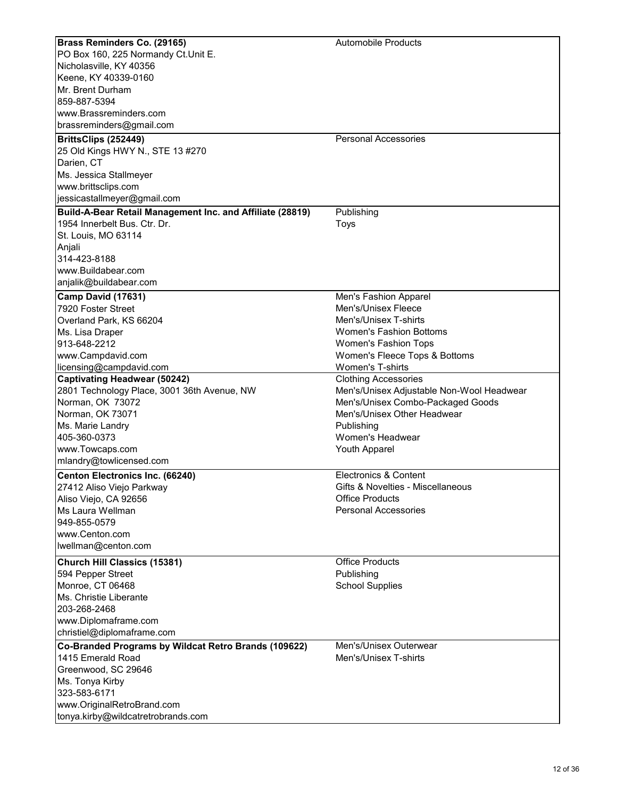| Brass Reminders Co. (29165)                               | <b>Automobile Products</b>                |
|-----------------------------------------------------------|-------------------------------------------|
| PO Box 160, 225 Normandy Ct.Unit E.                       |                                           |
| Nicholasville, KY 40356                                   |                                           |
| Keene, KY 40339-0160                                      |                                           |
| Mr. Brent Durham                                          |                                           |
| 859-887-5394                                              |                                           |
| www.Brassreminders.com                                    |                                           |
| brassreminders@gmail.com                                  |                                           |
|                                                           |                                           |
| BrittsClips (252449)                                      | <b>Personal Accessories</b>               |
| 25 Old Kings HWY N., STE 13 #270                          |                                           |
| Darien, CT                                                |                                           |
| Ms. Jessica Stallmeyer                                    |                                           |
| www.brittsclips.com                                       |                                           |
| jessicastallmeyer@gmail.com                               |                                           |
| Build-A-Bear Retail Management Inc. and Affiliate (28819) | Publishing                                |
| 1954 Innerbelt Bus, Ctr. Dr.                              | Toys                                      |
| St. Louis, MO 63114                                       |                                           |
|                                                           |                                           |
| Anjali                                                    |                                           |
| 314-423-8188                                              |                                           |
| www.Buildabear.com                                        |                                           |
| anjalik@buildabear.com                                    |                                           |
| Camp David (17631)                                        | Men's Fashion Apparel                     |
| 7920 Foster Street                                        | Men's/Unisex Fleece                       |
| Overland Park, KS 66204                                   | Men's/Unisex T-shirts                     |
| Ms. Lisa Draper                                           | <b>Women's Fashion Bottoms</b>            |
| 913-648-2212                                              | Women's Fashion Tops                      |
| www.Campdavid.com                                         | Women's Fleece Tops & Bottoms             |
|                                                           | Women's T-shirts                          |
| licensing@campdavid.com                                   |                                           |
| <b>Captivating Headwear (50242)</b>                       | <b>Clothing Accessories</b>               |
| 2801 Technology Place, 3001 36th Avenue, NW               | Men's/Unisex Adjustable Non-Wool Headwear |
| Norman, OK 73072                                          | Men's/Unisex Combo-Packaged Goods         |
| Norman, OK 73071                                          | Men's/Unisex Other Headwear               |
| Ms. Marie Landry                                          | Publishing                                |
| 405-360-0373                                              | Women's Headwear                          |
| www.Towcaps.com                                           | Youth Apparel                             |
| mlandry@towlicensed.com                                   |                                           |
| <b>Centon Electronics Inc. (66240)</b>                    | Electronics & Content                     |
| 27412 Aliso Viejo Parkway                                 | Gifts & Novelties - Miscellaneous         |
| Aliso Viejo, CA 92656                                     | <b>Office Products</b>                    |
| Ms Laura Wellman                                          | <b>Personal Accessories</b>               |
|                                                           |                                           |
| 949-855-0579                                              |                                           |
| www.Centon.com                                            |                                           |
| lwellman@centon.com                                       |                                           |
| <b>Church Hill Classics (15381)</b>                       | <b>Office Products</b>                    |
| 594 Pepper Street                                         | Publishing                                |
| Monroe, CT 06468                                          | <b>School Supplies</b>                    |
| Ms. Christie Liberante                                    |                                           |
| 203-268-2468                                              |                                           |
| www.Diplomaframe.com                                      |                                           |
| christiel@diplomaframe.com                                |                                           |
|                                                           |                                           |
| Co-Branded Programs by Wildcat Retro Brands (109622)      | Men's/Unisex Outerwear                    |
| 1415 Emerald Road                                         | Men's/Unisex T-shirts                     |
| Greenwood, SC 29646                                       |                                           |
| Ms. Tonya Kirby                                           |                                           |
| 323-583-6171                                              |                                           |
| www.OriginalRetroBrand.com                                |                                           |
| tonya.kirby@wildcatretrobrands.com                        |                                           |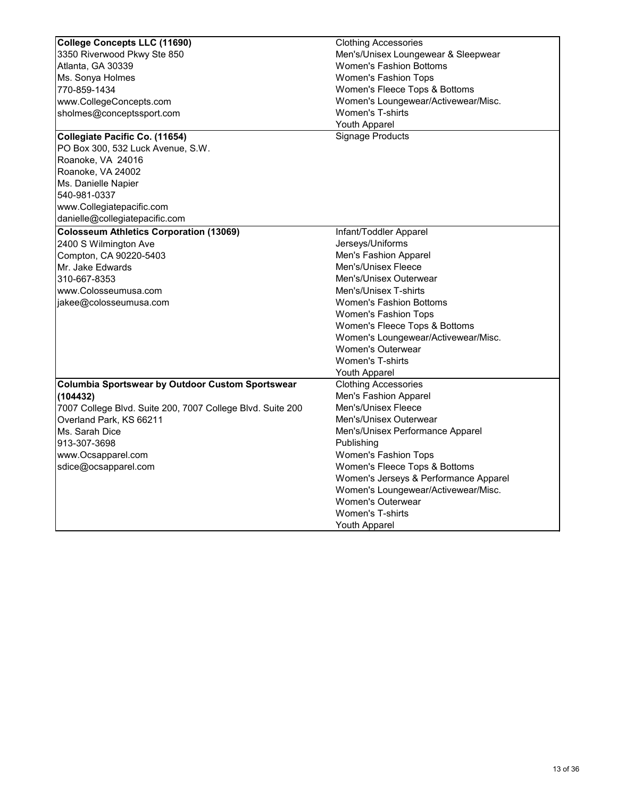| <b>College Concepts LLC (11690)</b>                        | <b>Clothing Accessories</b>           |
|------------------------------------------------------------|---------------------------------------|
| 3350 Riverwood Pkwy Ste 850                                | Men's/Unisex Loungewear & Sleepwear   |
| Atlanta, GA 30339                                          | <b>Women's Fashion Bottoms</b>        |
| Ms. Sonya Holmes                                           | <b>Women's Fashion Tops</b>           |
| 770-859-1434                                               | Women's Fleece Tops & Bottoms         |
| www.CollegeConcepts.com                                    | Women's Loungewear/Activewear/Misc.   |
| sholmes@conceptssport.com                                  | <b>Women's T-shirts</b>               |
|                                                            | Youth Apparel                         |
| Collegiate Pacific Co. (11654)                             | <b>Signage Products</b>               |
| PO Box 300, 532 Luck Avenue, S.W.                          |                                       |
| Roanoke, VA 24016                                          |                                       |
| Roanoke, VA 24002                                          |                                       |
| Ms. Danielle Napier                                        |                                       |
| 540-981-0337                                               |                                       |
| www.Collegiatepacific.com                                  |                                       |
| danielle@collegiatepacific.com                             |                                       |
| <b>Colosseum Athletics Corporation (13069)</b>             | Infant/Toddler Apparel                |
| 2400 S Wilmington Ave                                      | Jerseys/Uniforms                      |
| Compton, CA 90220-5403                                     | Men's Fashion Apparel                 |
| Mr. Jake Edwards                                           | Men's/Unisex Fleece                   |
| 310-667-8353                                               | Men's/Unisex Outerwear                |
| www.Colosseumusa.com                                       | Men's/Unisex T-shirts                 |
| jakee@colosseumusa.com                                     | <b>Women's Fashion Bottoms</b>        |
|                                                            | <b>Women's Fashion Tops</b>           |
|                                                            | Women's Fleece Tops & Bottoms         |
|                                                            | Women's Loungewear/Activewear/Misc.   |
|                                                            | <b>Women's Outerwear</b>              |
|                                                            | <b>Women's T-shirts</b>               |
|                                                            | <b>Youth Apparel</b>                  |
| <b>Columbia Sportswear by Outdoor Custom Sportswear</b>    | <b>Clothing Accessories</b>           |
| (104432)                                                   | Men's Fashion Apparel                 |
| 7007 College Blvd. Suite 200, 7007 College Blvd. Suite 200 | Men's/Unisex Fleece                   |
| Overland Park, KS 66211                                    | Men's/Unisex Outerwear                |
| Ms. Sarah Dice                                             | Men's/Unisex Performance Apparel      |
| 913-307-3698                                               | Publishing                            |
| www.Ocsapparel.com                                         | Women's Fashion Tops                  |
| sdice@ocsapparel.com                                       | Women's Fleece Tops & Bottoms         |
|                                                            | Women's Jerseys & Performance Apparel |
|                                                            | Women's Loungewear/Activewear/Misc.   |
|                                                            | <b>Women's Outerwear</b>              |
|                                                            | <b>Women's T-shirts</b>               |
|                                                            |                                       |
|                                                            | Youth Apparel                         |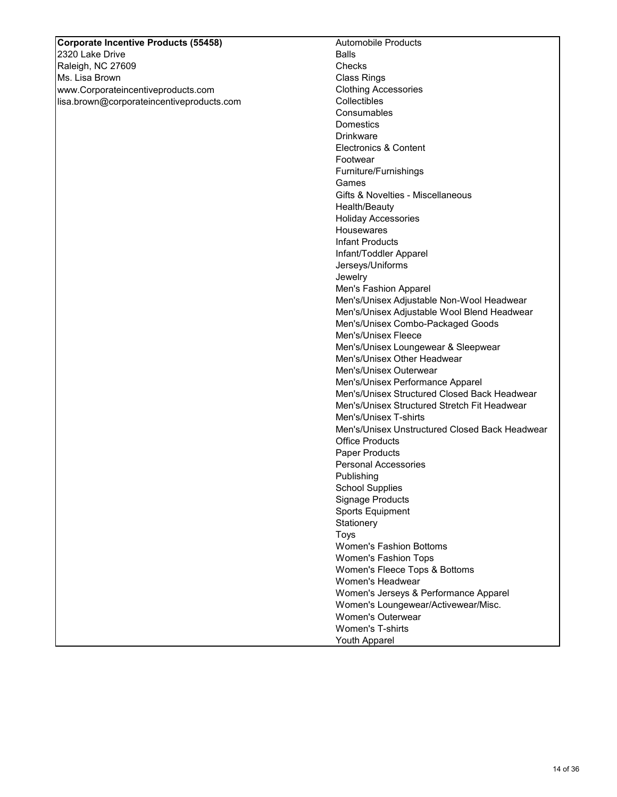# **Corporate Incentive Products (55458)**

2320 Lake Drive Raleigh, NC 27609 Ms. Lisa Brown www.Corporateincentiveproducts.com lisa.brown@corporateincentiveproducts.com Automobile Products Balls **Checks** Class Rings Clothing Accessories **Collectibles Consumables Domestics** Drinkware Electronics & Content Footwear Furniture/Furnishings Games Gifts & Novelties - Miscellaneous Health/Beauty Holiday Accessories **Housewares** Infant Products Infant/Toddler Apparel Jerseys/Uniforms Jewelry Men's Fashion Apparel Men's/Unisex Adjustable Non-Wool Headwear Men's/Unisex Adjustable Wool Blend Headwear Men's/Unisex Combo-Packaged Goods Men's/Unisex Fleece Men's/Unisex Loungewear & Sleepwear Men's/Unisex Other Headwear Men's/Unisex Outerwear Men's/Unisex Performance Apparel Men's/Unisex Structured Closed Back Headwear Men's/Unisex Structured Stretch Fit Headwear Men's/Unisex T-shirts Men's/Unisex Unstructured Closed Back Headwear Office Products Paper Products Personal Accessories Publishing School Supplies Signage Products Sports Equipment **Stationery** Toys Women's Fashion Bottoms Women's Fashion Tops Women's Fleece Tops & Bottoms Women's Headwear Women's Jerseys & Performance Apparel Women's Loungewear/Activewear/Misc. Women's Outerwear Women's T-shirts Youth Apparel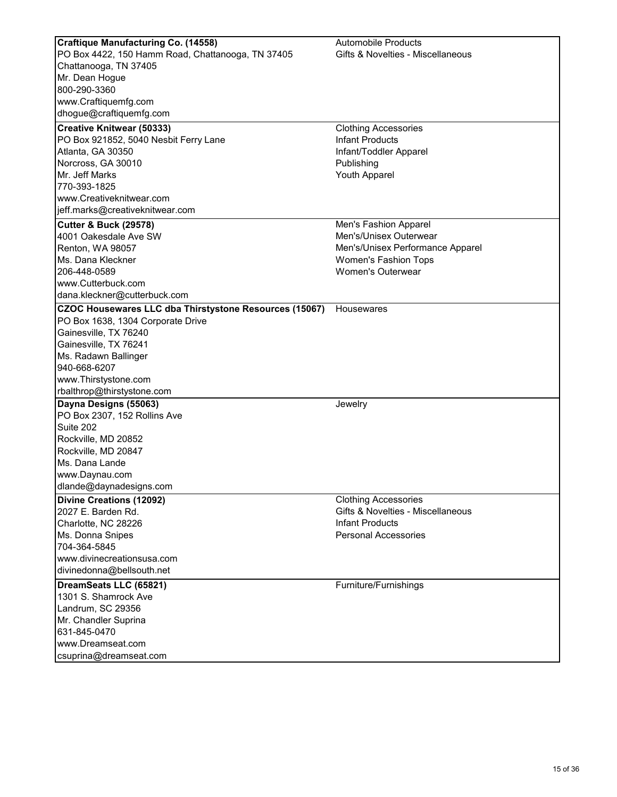| <b>Craftique Manufacturing Co. (14558)</b>             | <b>Automobile Products</b>        |
|--------------------------------------------------------|-----------------------------------|
| PO Box 4422, 150 Hamm Road, Chattanooga, TN 37405      | Gifts & Novelties - Miscellaneous |
| Chattanooga, TN 37405                                  |                                   |
| Mr. Dean Hogue<br>800-290-3360                         |                                   |
|                                                        |                                   |
| www.Craftiquemfg.com                                   |                                   |
| dhogue@craftiquemfg.com                                |                                   |
| <b>Creative Knitwear (50333)</b>                       | <b>Clothing Accessories</b>       |
| PO Box 921852, 5040 Nesbit Ferry Lane                  | <b>Infant Products</b>            |
| Atlanta, GA 30350                                      | Infant/Toddler Apparel            |
| Norcross, GA 30010                                     | Publishing                        |
| Mr. Jeff Marks                                         | Youth Apparel                     |
| 770-393-1825                                           |                                   |
| www.Creativeknitwear.com                               |                                   |
| jeff.marks@creativeknitwear.com                        |                                   |
| <b>Cutter &amp; Buck (29578)</b>                       | Men's Fashion Apparel             |
| 4001 Oakesdale Ave SW                                  | Men's/Unisex Outerwear            |
| Renton, WA 98057                                       | Men's/Unisex Performance Apparel  |
| Ms. Dana Kleckner                                      | <b>Women's Fashion Tops</b>       |
| 206-448-0589                                           | Women's Outerwear                 |
| www.Cutterbuck.com                                     |                                   |
| dana.kleckner@cutterbuck.com                           |                                   |
| CZOC Housewares LLC dba Thirstystone Resources (15067) | Housewares                        |
| PO Box 1638, 1304 Corporate Drive                      |                                   |
| Gainesville, TX 76240                                  |                                   |
| Gainesville, TX 76241                                  |                                   |
| Ms. Radawn Ballinger                                   |                                   |
| 940-668-6207                                           |                                   |
| www.Thirstystone.com                                   |                                   |
| rbalthrop@thirstystone.com                             |                                   |
| Dayna Designs (55063)                                  | Jewelry                           |
| PO Box 2307, 152 Rollins Ave                           |                                   |
| Suite 202                                              |                                   |
| Rockville, MD 20852                                    |                                   |
| Rockville, MD 20847                                    |                                   |
| Ms. Dana Lande                                         |                                   |
| www.Daynau.com                                         |                                   |
| dlande@daynadesigns.com                                |                                   |
| Divine Creations (12092)                               | <b>Clothing Accessories</b>       |
| 2027 E. Barden Rd.                                     | Gifts & Novelties - Miscellaneous |
| Charlotte, NC 28226                                    | Infant Products                   |
| Ms. Donna Snipes                                       | <b>Personal Accessories</b>       |
| 704-364-5845                                           |                                   |
| www.divinecreationsusa.com                             |                                   |
| divinedonna@bellsouth.net                              |                                   |
| DreamSeats LLC (65821)                                 | Furniture/Furnishings             |
| 1301 S. Shamrock Ave                                   |                                   |
| Landrum, SC 29356                                      |                                   |
| Mr. Chandler Suprina                                   |                                   |
| 631-845-0470                                           |                                   |
| www.Dreamseat.com                                      |                                   |
| csuprina@dreamseat.com                                 |                                   |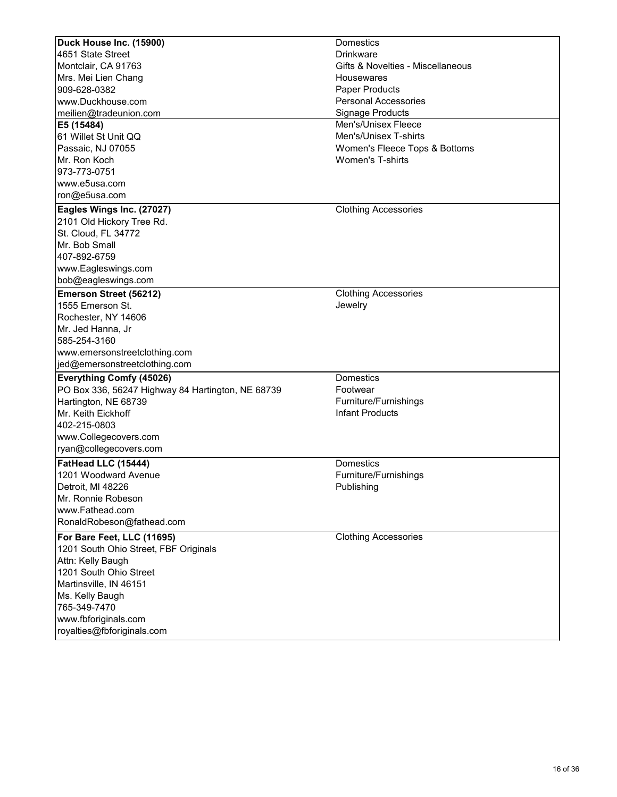| Duck House Inc. (15900)                           | <b>Domestics</b>                  |
|---------------------------------------------------|-----------------------------------|
| 4651 State Street                                 | <b>Drinkware</b>                  |
| Montclair, CA 91763                               | Gifts & Novelties - Miscellaneous |
| Mrs. Mei Lien Chang                               | <b>Housewares</b>                 |
| 909-628-0382                                      | Paper Products                    |
| www.Duckhouse.com                                 | <b>Personal Accessories</b>       |
| meilien@tradeunion.com                            | <b>Signage Products</b>           |
| E5 (15484)                                        | Men's/Unisex Fleece               |
| 61 Willet St Unit QQ                              | Men's/Unisex T-shirts             |
| Passaic, NJ 07055                                 | Women's Fleece Tops & Bottoms     |
| Mr. Ron Koch                                      | <b>Women's T-shirts</b>           |
| 973-773-0751                                      |                                   |
| www.e5usa.com                                     |                                   |
| ron@e5usa.com                                     |                                   |
| Eagles Wings Inc. (27027)                         | <b>Clothing Accessories</b>       |
| 2101 Old Hickory Tree Rd.                         |                                   |
| St. Cloud, FL 34772                               |                                   |
| Mr. Bob Small                                     |                                   |
| 407-892-6759                                      |                                   |
| www.Eagleswings.com                               |                                   |
| bob@eagleswings.com                               |                                   |
| <b>Emerson Street (56212)</b>                     | <b>Clothing Accessories</b>       |
| 1555 Emerson St.                                  | Jewelry                           |
| Rochester, NY 14606                               |                                   |
| Mr. Jed Hanna, Jr                                 |                                   |
| 585-254-3160                                      |                                   |
| www.emersonstreetclothing.com                     |                                   |
| jed@emersonstreetclothing.com                     |                                   |
| <b>Everything Comfy (45026)</b>                   | <b>Domestics</b>                  |
| PO Box 336, 56247 Highway 84 Hartington, NE 68739 | Footwear                          |
| Hartington, NE 68739                              | Furniture/Furnishings             |
| Mr. Keith Eickhoff                                | <b>Infant Products</b>            |
| 402-215-0803                                      |                                   |
| www.Collegecovers.com                             |                                   |
| ryan@collegecovers.com                            |                                   |
| FatHead LLC (15444)                               | Domestics                         |
| 1201 Woodward Avenue                              | Furniture/Furnishings             |
| Detroit, MI 48226                                 | Publishing                        |
| Mr. Ronnie Robeson                                |                                   |
| www.Fathead.com                                   |                                   |
| RonaldRobeson@fathead.com                         |                                   |
|                                                   |                                   |
| For Bare Feet, LLC (11695)                        | <b>Clothing Accessories</b>       |
| 1201 South Ohio Street, FBF Originals             |                                   |
| Attn: Kelly Baugh                                 |                                   |
| 1201 South Ohio Street                            |                                   |
| Martinsville, IN 46151                            |                                   |
| Ms. Kelly Baugh                                   |                                   |
| 765-349-7470                                      |                                   |
| www.fbforiginals.com                              |                                   |
| royalties@fbforiginals.com                        |                                   |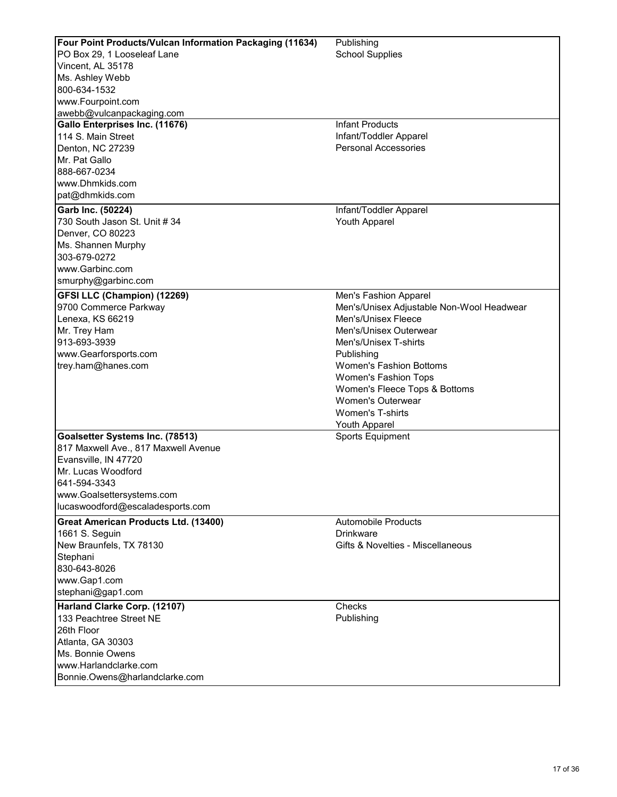| <b>Four Point Products/Vulcan Information Packaging (11634)</b> | Publishing                                     |
|-----------------------------------------------------------------|------------------------------------------------|
| PO Box 29, 1 Looseleaf Lane                                     | <b>School Supplies</b>                         |
| Vincent, AL 35178                                               |                                                |
| Ms. Ashley Webb                                                 |                                                |
| 800-634-1532                                                    |                                                |
| www.Fourpoint.com                                               |                                                |
| awebb@vulcanpackaging.com                                       |                                                |
| Gallo Enterprises Inc. (11676)                                  | <b>Infant Products</b>                         |
| 114 S. Main Street                                              | Infant/Toddler Apparel                         |
| Denton, NC 27239                                                | <b>Personal Accessories</b>                    |
| Mr. Pat Gallo                                                   |                                                |
| 888-667-0234                                                    |                                                |
| www.Dhmkids.com                                                 |                                                |
| pat@dhmkids.com                                                 |                                                |
|                                                                 |                                                |
| Garb Inc. (50224)<br>730 South Jason St. Unit # 34              | Infant/Toddler Apparel<br><b>Youth Apparel</b> |
|                                                                 |                                                |
| Denver, CO 80223                                                |                                                |
| Ms. Shannen Murphy                                              |                                                |
| 303-679-0272                                                    |                                                |
| www.Garbinc.com                                                 |                                                |
| smurphy@garbinc.com                                             |                                                |
| <b>GFSI LLC (Champion) (12269)</b>                              | Men's Fashion Apparel                          |
| 9700 Commerce Parkway                                           | Men's/Unisex Adjustable Non-Wool Headwear      |
| Lenexa, KS 66219                                                | Men's/Unisex Fleece                            |
| Mr. Trey Ham                                                    | Men's/Unisex Outerwear                         |
| 913-693-3939                                                    | Men's/Unisex T-shirts                          |
| www.Gearforsports.com                                           | Publishing                                     |
| trey.ham@hanes.com                                              | <b>Women's Fashion Bottoms</b>                 |
|                                                                 | Women's Fashion Tops                           |
|                                                                 | Women's Fleece Tops & Bottoms                  |
|                                                                 | <b>Women's Outerwear</b>                       |
|                                                                 | <b>Women's T-shirts</b>                        |
|                                                                 | Youth Apparel                                  |
| Goalsetter Systems Inc. (78513)                                 | Sports Equipment                               |
| 817 Maxwell Ave., 817 Maxwell Avenue                            |                                                |
| Evansville, IN 47720                                            |                                                |
| Mr. Lucas Woodford                                              |                                                |
| 641-594-3343                                                    |                                                |
| www.Goalsettersystems.com                                       |                                                |
| lucaswoodford@escaladesports.com                                |                                                |
| <b>Great American Products Ltd. (13400)</b>                     | <b>Automobile Products</b>                     |
|                                                                 | <b>Drinkware</b>                               |
| 1661 S. Seguin<br>New Braunfels, TX 78130                       | Gifts & Novelties - Miscellaneous              |
|                                                                 |                                                |
| Stephani                                                        |                                                |
| 830-643-8026                                                    |                                                |
| www.Gap1.com                                                    |                                                |
| stephani@gap1.com                                               |                                                |
| Harland Clarke Corp. (12107)                                    | Checks                                         |
| 133 Peachtree Street NE                                         | Publishing                                     |
| 26th Floor                                                      |                                                |
| Atlanta, GA 30303                                               |                                                |
| Ms. Bonnie Owens                                                |                                                |
| www.Harlandclarke.com                                           |                                                |
| Bonnie.Owens@harlandclarke.com                                  |                                                |
|                                                                 |                                                |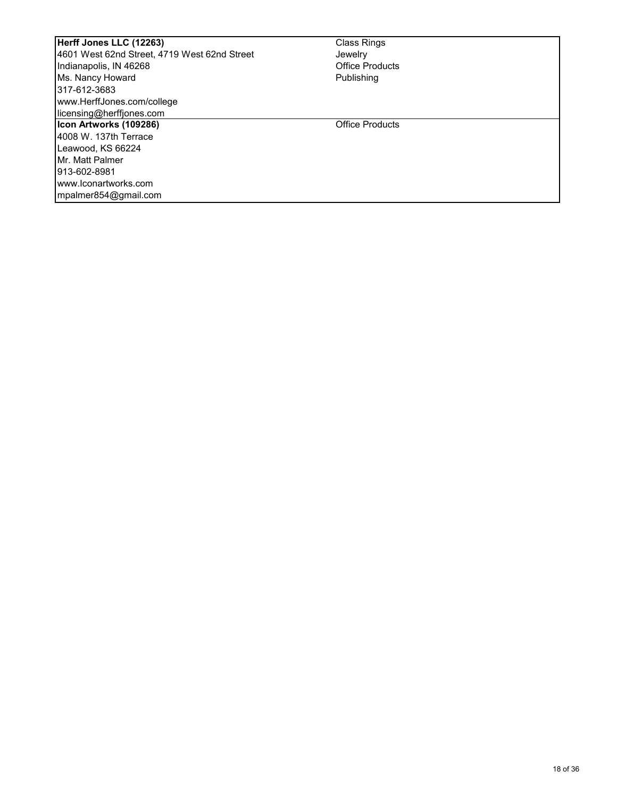| Herff Jones LLC (12263)                      | <b>Class Rings</b>     |  |
|----------------------------------------------|------------------------|--|
| 4601 West 62nd Street, 4719 West 62nd Street | Jewelry                |  |
| Indianapolis, IN 46268                       | <b>Office Products</b> |  |
| Ms. Nancy Howard                             | Publishing             |  |
| 317-612-3683                                 |                        |  |
| www.HerffJones.com/college                   |                        |  |
| licensing@herffiones.com                     |                        |  |
| Icon Artworks (109286)                       | <b>Office Products</b> |  |
| 4008 W. 137th Terrace                        |                        |  |
| Leawood, KS 66224                            |                        |  |
| Mr. Matt Palmer                              |                        |  |
| l913-602-8981                                |                        |  |
| www.lconartworks.com                         |                        |  |
| mpalmer854@gmail.com                         |                        |  |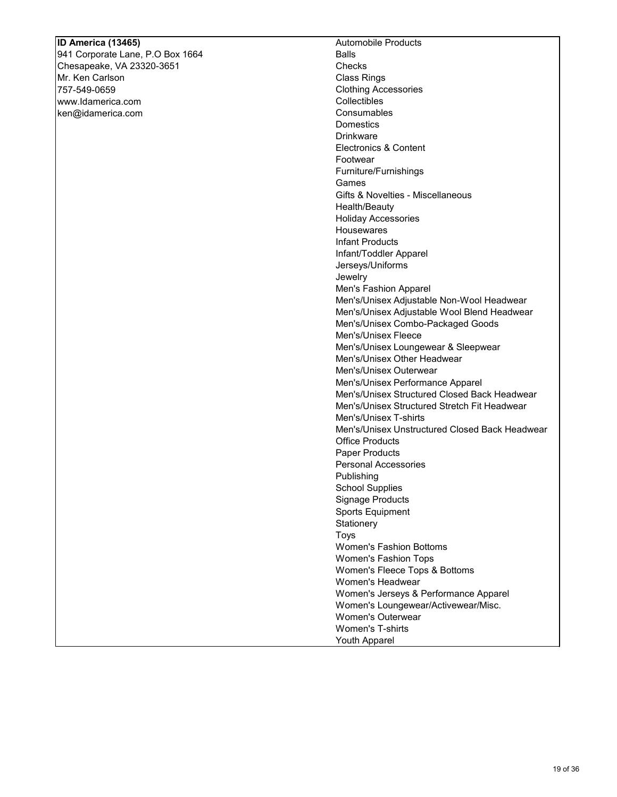## **ID America (13465)**

941 Corporate Lane, P.O Box 1664 Chesapeake, VA 23320-3651 Mr. Ken Carlson 757-549-0659 www.Idamerica.com ken@idamerica.com

Automobile Products Balls **Checks** Class Rings Clothing Accessories Collectibles **Consumables Domestics** Drinkware Electronics & Content Footwear Furniture/Furnishings Games Gifts & Novelties - Miscellaneous Health/Beauty Holiday Accessories **Housewares** Infant Products Infant/Toddler Apparel Jerseys/Uniforms Jewelry Men's Fashion Apparel Men's/Unisex Adjustable Non-Wool Headwear Men's/Unisex Adjustable Wool Blend Headwear Men's/Unisex Combo-Packaged Goods Men's/Unisex Fleece Men's/Unisex Loungewear & Sleepwear Men's/Unisex Other Headwear Men's/Unisex Outerwear Men's/Unisex Performance Apparel Men's/Unisex Structured Closed Back Headwear Men's/Unisex Structured Stretch Fit Headwear Men's/Unisex T-shirts Men's/Unisex Unstructured Closed Back Headwear Office Products Paper Products Personal Accessories Publishing School Supplies Signage Products Sports Equipment **Stationery** Toys Women's Fashion Bottoms Women's Fashion Tops Women's Fleece Tops & Bottoms Women's Headwear Women's Jerseys & Performance Apparel Women's Loungewear/Activewear/Misc. Women's Outerwear Women's T-shirts

Youth Apparel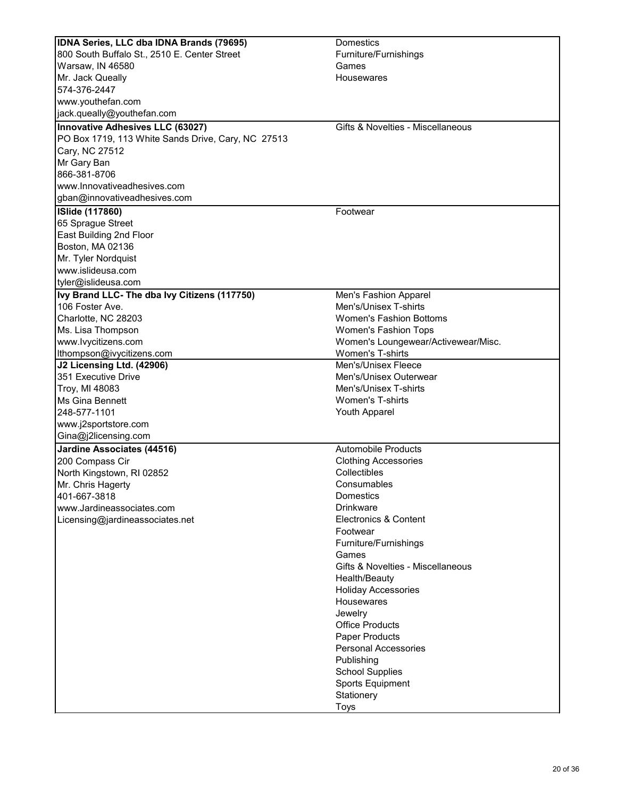| IDNA Series, LLC dba IDNA Brands (79695)           | Domestics                           |
|----------------------------------------------------|-------------------------------------|
| 800 South Buffalo St., 2510 E. Center Street       | Furniture/Furnishings               |
| Warsaw, IN 46580                                   | Games                               |
| Mr. Jack Queally                                   | Housewares                          |
| 574-376-2447                                       |                                     |
| www.youthefan.com                                  |                                     |
| jack.queally@youthefan.com                         |                                     |
| Innovative Adhesives LLC (63027)                   | Gifts & Novelties - Miscellaneous   |
| PO Box 1719, 113 White Sands Drive, Cary, NC 27513 |                                     |
| Cary, NC 27512                                     |                                     |
| Mr Gary Ban                                        |                                     |
| 866-381-8706                                       |                                     |
| www.Innovativeadhesives.com                        |                                     |
| gban@innovativeadhesives.com                       |                                     |
| <b>ISlide (117860)</b>                             | Footwear                            |
| 65 Sprague Street                                  |                                     |
| East Building 2nd Floor                            |                                     |
| Boston, MA 02136                                   |                                     |
| Mr. Tyler Nordquist                                |                                     |
| www.islideusa.com                                  |                                     |
| tyler@islideusa.com                                |                                     |
| Ivy Brand LLC- The dba Ivy Citizens (117750)       | Men's Fashion Apparel               |
| 106 Foster Ave.                                    | Men's/Unisex T-shirts               |
| Charlotte, NC 28203                                | <b>Women's Fashion Bottoms</b>      |
| Ms. Lisa Thompson                                  | Women's Fashion Tops                |
| www.lvycitizens.com                                | Women's Loungewear/Activewear/Misc. |
| Ithompson@ivycitizens.com                          | <b>Women's T-shirts</b>             |
| J2 Licensing Ltd. (42906)                          | Men's/Unisex Fleece                 |
| 351 Executive Drive                                | Men's/Unisex Outerwear              |
| Troy, MI 48083                                     | Men's/Unisex T-shirts               |
| Ms Gina Bennett                                    | <b>Women's T-shirts</b>             |
| 248-577-1101                                       | Youth Apparel                       |
| www.j2sportstore.com                               |                                     |
| Gina@j2licensing.com                               |                                     |
| <b>Jardine Associates (44516)</b>                  | <b>Automobile Products</b>          |
| 200 Compass Cir                                    | <b>Clothing Accessories</b>         |
| North Kingstown, RI 02852                          | Collectibles                        |
| Mr. Chris Hagerty                                  | Consumables                         |
| 401-667-3818                                       | <b>Domestics</b>                    |
| www.Jardineassociates.com                          | <b>Drinkware</b>                    |
| Licensing@jardineassociates.net                    | Electronics & Content               |
|                                                    | Footwear                            |
|                                                    | Furniture/Furnishings               |
|                                                    | Games                               |
|                                                    | Gifts & Novelties - Miscellaneous   |
|                                                    | Health/Beauty                       |
|                                                    | <b>Holiday Accessories</b>          |
|                                                    | Housewares                          |
|                                                    | Jewelry                             |
|                                                    | <b>Office Products</b>              |
|                                                    | <b>Paper Products</b>               |
|                                                    | <b>Personal Accessories</b>         |
|                                                    | Publishing                          |
|                                                    | <b>School Supplies</b>              |
|                                                    | Sports Equipment                    |
|                                                    | Stationery                          |
|                                                    | Toys                                |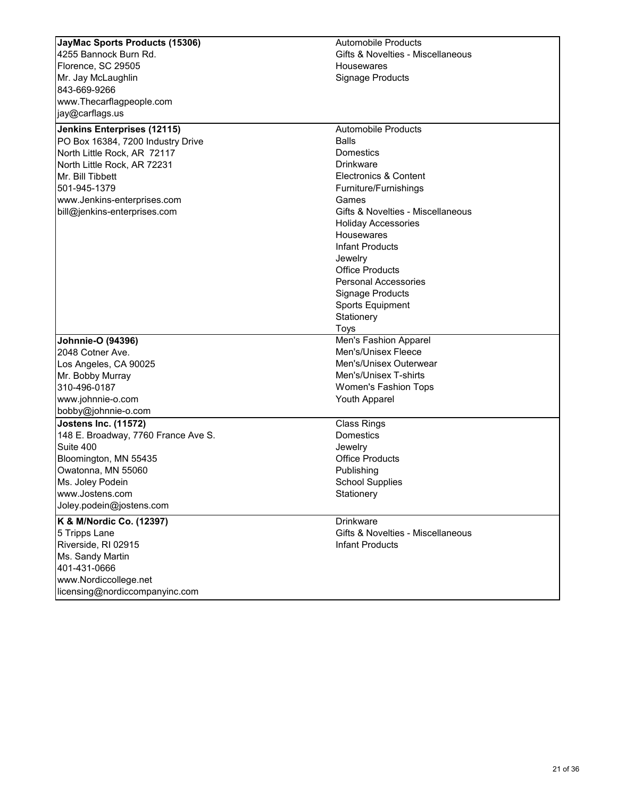| JayMac Sports Products (15306)              | <b>Automobile Products</b>        |
|---------------------------------------------|-----------------------------------|
| 4255 Bannock Burn Rd.                       | Gifts & Novelties - Miscellaneous |
| Florence, SC 29505                          | Housewares                        |
| Mr. Jay McLaughlin                          | <b>Signage Products</b>           |
| 843-669-9266                                |                                   |
|                                             |                                   |
| www.Thecarflagpeople.com<br>jay@carflags.us |                                   |
|                                             |                                   |
| <b>Jenkins Enterprises (12115)</b>          | <b>Automobile Products</b>        |
| PO Box 16384, 7200 Industry Drive           | <b>Balls</b>                      |
| North Little Rock, AR 72117                 | Domestics                         |
| North Little Rock, AR 72231                 | <b>Drinkware</b>                  |
| Mr. Bill Tibbett                            | Electronics & Content             |
| 501-945-1379                                | Furniture/Furnishings             |
| www.Jenkins-enterprises.com                 | Games                             |
| bill@jenkins-enterprises.com                | Gifts & Novelties - Miscellaneous |
|                                             | <b>Holiday Accessories</b>        |
|                                             | Housewares                        |
|                                             | Infant Products                   |
|                                             | Jewelry                           |
|                                             | <b>Office Products</b>            |
|                                             | <b>Personal Accessories</b>       |
|                                             | <b>Signage Products</b>           |
|                                             | <b>Sports Equipment</b>           |
|                                             | Stationery                        |
|                                             | Toys                              |
| Johnnie-O (94396)                           | Men's Fashion Apparel             |
| 2048 Cotner Ave.                            | Men's/Unisex Fleece               |
| Los Angeles, CA 90025                       | Men's/Unisex Outerwear            |
| Mr. Bobby Murray                            | Men's/Unisex T-shirts             |
| 310-496-0187                                | Women's Fashion Tops              |
| www.johnnie-o.com                           | Youth Apparel                     |
| bobby@johnnie-o.com                         |                                   |
| <b>Jostens Inc. (11572)</b>                 | <b>Class Rings</b>                |
| 148 E. Broadway, 7760 France Ave S.         | <b>Domestics</b>                  |
| Suite 400                                   | Jewelry                           |
| Bloomington, MN 55435                       | <b>Office Products</b>            |
| Owatonna, MN 55060                          | Publishing                        |
| Ms. Joley Podein                            | <b>School Supplies</b>            |
| www.Jostens.com                             | Stationery                        |
| Joley.podein@jostens.com                    |                                   |
| K & M/Nordic Co. (12397)                    | <b>Drinkware</b>                  |
| 5 Tripps Lane                               | Gifts & Novelties - Miscellaneous |
| Riverside, RI 02915                         | <b>Infant Products</b>            |
| Ms. Sandy Martin                            |                                   |
| 401-431-0666                                |                                   |
| www.Nordiccollege.net                       |                                   |
| licensing@nordiccompanyinc.com              |                                   |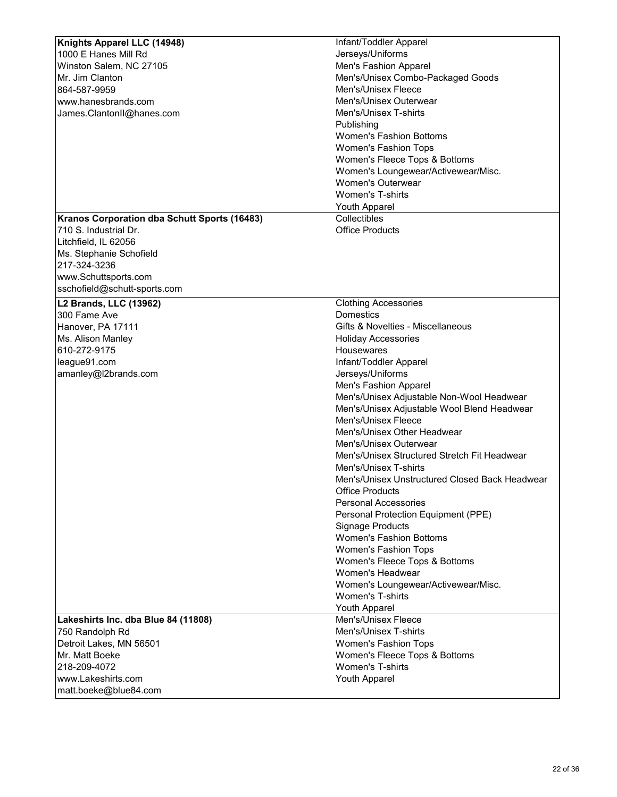| Knights Apparel LLC (14948)                  | Infant/Toddler Apparel                                    |
|----------------------------------------------|-----------------------------------------------------------|
| 1000 E Hanes Mill Rd                         | Jerseys/Uniforms                                          |
| Winston Salem, NC 27105                      | Men's Fashion Apparel                                     |
| Mr. Jim Clanton                              | Men's/Unisex Combo-Packaged Goods                         |
| 864-587-9959                                 | Men's/Unisex Fleece                                       |
| www.hanesbrands.com                          | Men's/Unisex Outerwear                                    |
| James.ClantonII@hanes.com                    | Men's/Unisex T-shirts                                     |
|                                              | Publishing                                                |
|                                              | <b>Women's Fashion Bottoms</b>                            |
|                                              | <b>Women's Fashion Tops</b>                               |
|                                              | Women's Fleece Tops & Bottoms                             |
|                                              |                                                           |
|                                              | Women's Loungewear/Activewear/Misc.                       |
|                                              | Women's Outerwear                                         |
|                                              | <b>Women's T-shirts</b>                                   |
|                                              | <b>Youth Apparel</b>                                      |
| Kranos Corporation dba Schutt Sports (16483) | Collectibles                                              |
| 710 S. Industrial Dr.                        | <b>Office Products</b>                                    |
| Litchfield, IL 62056                         |                                                           |
| Ms. Stephanie Schofield                      |                                                           |
| 217-324-3236                                 |                                                           |
| www.Schuttsports.com                         |                                                           |
| sschofield@schutt-sports.com                 |                                                           |
| <b>L2 Brands, LLC (13962)</b>                | <b>Clothing Accessories</b>                               |
| 300 Fame Ave                                 | <b>Domestics</b>                                          |
| Hanover, PA 17111                            | Gifts & Novelties - Miscellaneous                         |
| Ms. Alison Manley                            | <b>Holiday Accessories</b>                                |
| 610-272-9175                                 | Housewares                                                |
| league91.com                                 | Infant/Toddler Apparel                                    |
| amanley@l2brands.com                         | Jerseys/Uniforms                                          |
|                                              | Men's Fashion Apparel                                     |
|                                              | Men's/Unisex Adjustable Non-Wool Headwear                 |
|                                              | Men's/Unisex Adjustable Wool Blend Headwear               |
|                                              | Men's/Unisex Fleece                                       |
|                                              | Men's/Unisex Other Headwear                               |
|                                              | Men's/Unisex Outerwear                                    |
|                                              | Men's/Unisex Structured Stretch Fit Headwear              |
|                                              | Men's/Unisex T-shirts                                     |
|                                              | Men's/Unisex Unstructured Closed Back Headwear            |
|                                              | <b>Office Products</b>                                    |
|                                              | <b>Personal Accessories</b>                               |
|                                              | Personal Protection Equipment (PPE)                       |
|                                              |                                                           |
|                                              | <b>Signage Products</b><br><b>Women's Fashion Bottoms</b> |
|                                              |                                                           |
|                                              | <b>Women's Fashion Tops</b>                               |
|                                              | Women's Fleece Tops & Bottoms<br>Women's Headwear         |
|                                              |                                                           |
|                                              | Women's Loungewear/Activewear/Misc.                       |
|                                              | Women's T-shirts                                          |
|                                              | <b>Youth Apparel</b>                                      |
| Lakeshirts Inc. dba Blue 84 (11808)          | Men's/Unisex Fleece                                       |
| 750 Randolph Rd                              | Men's/Unisex T-shirts                                     |
| Detroit Lakes, MN 56501                      | <b>Women's Fashion Tops</b>                               |
| Mr. Matt Boeke                               | Women's Fleece Tops & Bottoms                             |
| 218-209-4072                                 | <b>Women's T-shirts</b>                                   |
| www.Lakeshirts.com                           | Youth Apparel                                             |
| matt.boeke@blue84.com                        |                                                           |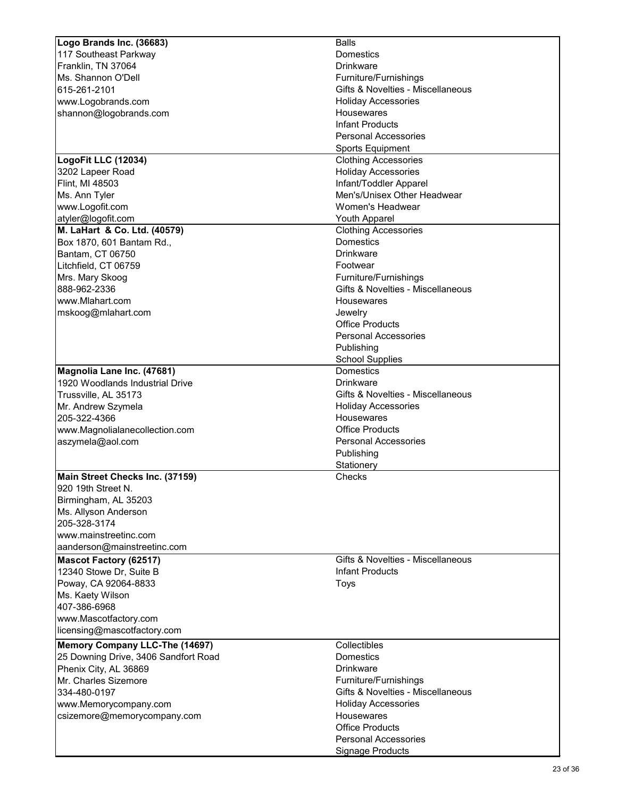| Logo Brands Inc. (36683)              | <b>Balls</b>                                    |
|---------------------------------------|-------------------------------------------------|
| 117 Southeast Parkway                 | Domestics                                       |
| Franklin, TN 37064                    | <b>Drinkware</b>                                |
| Ms. Shannon O'Dell                    | Furniture/Furnishings                           |
| 615-261-2101                          | Gifts & Novelties - Miscellaneous               |
| www.Logobrands.com                    | <b>Holiday Accessories</b>                      |
| shannon@logobrands.com                | Housewares                                      |
|                                       | <b>Infant Products</b>                          |
|                                       | <b>Personal Accessories</b>                     |
|                                       | <b>Sports Equipment</b>                         |
| LogoFit LLC (12034)                   | <b>Clothing Accessories</b>                     |
| 3202 Lapeer Road                      | <b>Holiday Accessories</b>                      |
| Flint, MI 48503                       | Infant/Toddler Apparel                          |
| Ms. Ann Tyler                         | Men's/Unisex Other Headwear                     |
| www.Logofit.com                       | Women's Headwear                                |
| atyler@logofit.com                    | <b>Youth Apparel</b>                            |
|                                       |                                                 |
| M. LaHart & Co. Ltd. (40579)          | <b>Clothing Accessories</b><br><b>Domestics</b> |
| Box 1870, 601 Bantam Rd.,             |                                                 |
| Bantam, CT 06750                      | <b>Drinkware</b>                                |
| Litchfield, CT 06759                  | Footwear                                        |
| Mrs. Mary Skoog                       | Furniture/Furnishings                           |
| 888-962-2336                          | Gifts & Novelties - Miscellaneous               |
| www.Mlahart.com                       | <b>Housewares</b>                               |
| mskoog@mlahart.com                    | Jewelry                                         |
|                                       | <b>Office Products</b>                          |
|                                       | <b>Personal Accessories</b>                     |
|                                       | Publishing                                      |
|                                       | <b>School Supplies</b>                          |
| Magnolia Lane Inc. (47681)            | Domestics                                       |
| 1920 Woodlands Industrial Drive       | <b>Drinkware</b>                                |
| Trussville, AL 35173                  | Gifts & Novelties - Miscellaneous               |
| Mr. Andrew Szymela                    | <b>Holiday Accessories</b>                      |
| 205-322-4366                          | Housewares                                      |
| www.Magnolialanecollection.com        | <b>Office Products</b>                          |
| aszymela@aol.com                      | <b>Personal Accessories</b>                     |
|                                       | Publishing                                      |
|                                       | Stationery                                      |
| Main Street Checks Inc. (37159)       | Checks                                          |
| 920 19th Street N.                    |                                                 |
| Birmingham, AL 35203                  |                                                 |
| Ms. Allyson Anderson                  |                                                 |
| 205-328-3174                          |                                                 |
| www.mainstreetinc.com                 |                                                 |
| aanderson@mainstreetinc.com           |                                                 |
|                                       | Gifts & Novelties - Miscellaneous               |
| <b>Mascot Factory (62517)</b>         |                                                 |
| 12340 Stowe Dr, Suite B               | <b>Infant Products</b>                          |
| Poway, CA 92064-8833                  | Toys                                            |
| Ms. Kaety Wilson                      |                                                 |
| 407-386-6968                          |                                                 |
| www.Mascotfactory.com                 |                                                 |
| licensing@mascotfactory.com           |                                                 |
| <b>Memory Company LLC-The (14697)</b> | Collectibles                                    |
| 25 Downing Drive, 3406 Sandfort Road  | <b>Domestics</b>                                |
| Phenix City, AL 36869                 | <b>Drinkware</b>                                |
| Mr. Charles Sizemore                  | Furniture/Furnishings                           |
| 334-480-0197                          | Gifts & Novelties - Miscellaneous               |
| www.Memorycompany.com                 | <b>Holiday Accessories</b>                      |
| csizemore@memorycompany.com           | Housewares                                      |
|                                       | <b>Office Products</b>                          |
|                                       | <b>Personal Accessories</b>                     |
|                                       | <b>Signage Products</b>                         |
|                                       |                                                 |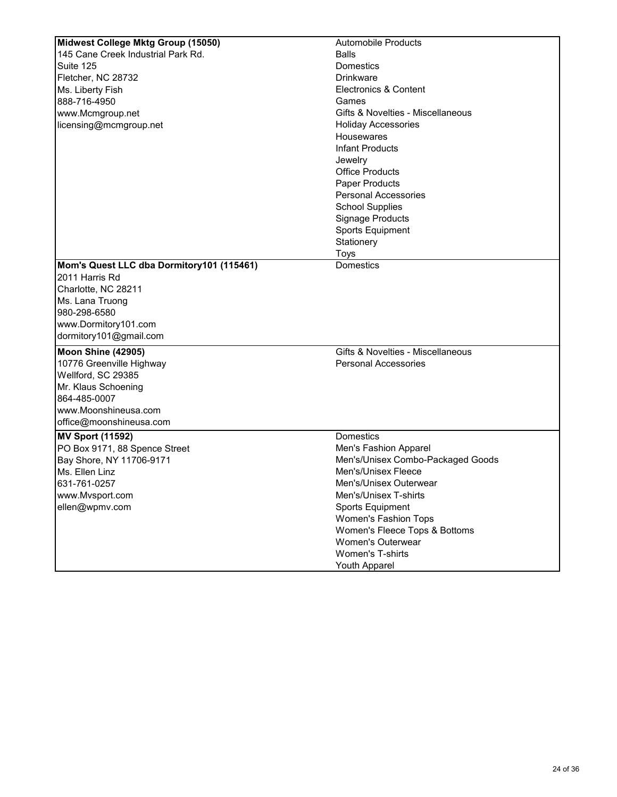| Midwest College Mktg Group (15050)        | <b>Automobile Products</b>        |
|-------------------------------------------|-----------------------------------|
| 145 Cane Creek Industrial Park Rd.        | <b>Balls</b>                      |
| Suite 125                                 | Domestics                         |
| Fletcher, NC 28732                        | <b>Drinkware</b>                  |
| Ms. Liberty Fish                          | <b>Electronics &amp; Content</b>  |
| 888-716-4950                              | Games                             |
| www.Mcmgroup.net                          | Gifts & Novelties - Miscellaneous |
| licensing@mcmgroup.net                    | <b>Holiday Accessories</b>        |
|                                           | Housewares                        |
|                                           | <b>Infant Products</b>            |
|                                           | Jewelry                           |
|                                           | <b>Office Products</b>            |
|                                           | Paper Products                    |
|                                           | <b>Personal Accessories</b>       |
|                                           | <b>School Supplies</b>            |
|                                           | <b>Signage Products</b>           |
|                                           | <b>Sports Equipment</b>           |
|                                           |                                   |
|                                           | Stationery                        |
|                                           | Toys                              |
| Mom's Quest LLC dba Dormitory101 (115461) | <b>Domestics</b>                  |
| 2011 Harris Rd                            |                                   |
| Charlotte, NC 28211                       |                                   |
| Ms. Lana Truong                           |                                   |
| 980-298-6580                              |                                   |
| www.Dormitory101.com                      |                                   |
| dormitory101@gmail.com                    |                                   |
| Moon Shine (42905)                        | Gifts & Novelties - Miscellaneous |
| 10776 Greenville Highway                  | <b>Personal Accessories</b>       |
| Wellford, SC 29385                        |                                   |
| Mr. Klaus Schoening                       |                                   |
| 864-485-0007                              |                                   |
| www.Moonshineusa.com                      |                                   |
| office@moonshineusa.com                   |                                   |
| <b>MV Sport (11592)</b>                   | <b>Domestics</b>                  |
| PO Box 9171, 88 Spence Street             | Men's Fashion Apparel             |
| Bay Shore, NY 11706-9171                  | Men's/Unisex Combo-Packaged Goods |
| Ms. Ellen Linz                            | Men's/Unisex Fleece               |
| 631-761-0257                              | Men's/Unisex Outerwear            |
| www.Mvsport.com                           | Men's/Unisex T-shirts             |
| ellen@wpmv.com                            | <b>Sports Equipment</b>           |
|                                           | Women's Fashion Tops              |
|                                           | Women's Fleece Tops & Bottoms     |
|                                           | <b>Women's Outerwear</b>          |
|                                           | <b>Women's T-shirts</b>           |
|                                           | Youth Apparel                     |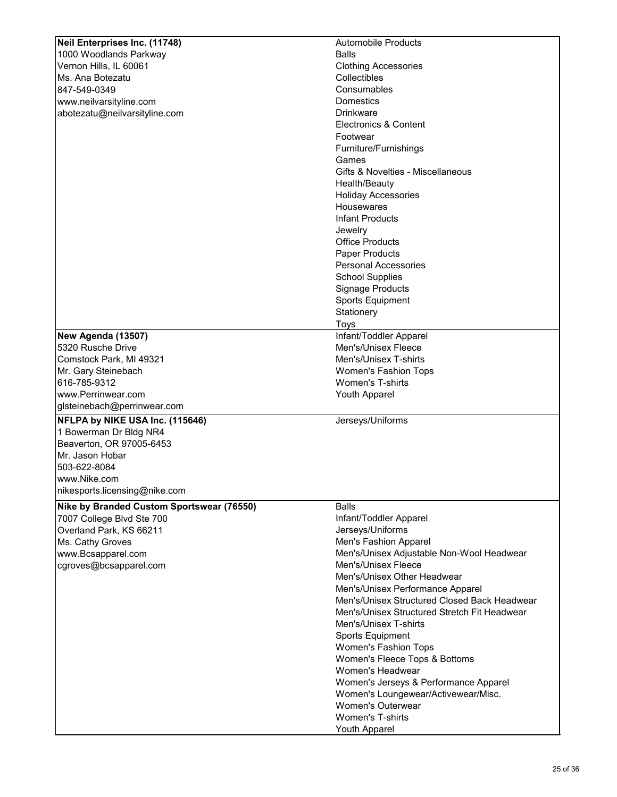| Neil Enterprises Inc. (11748)             | <b>Automobile Products</b>                   |
|-------------------------------------------|----------------------------------------------|
| 1000 Woodlands Parkway                    | <b>Balls</b>                                 |
|                                           |                                              |
| Vernon Hills, IL 60061                    | <b>Clothing Accessories</b>                  |
| Ms. Ana Botezatu                          | Collectibles                                 |
| 847-549-0349                              | Consumables                                  |
| www.neilvarsityline.com                   | Domestics                                    |
| abotezatu@neilvarsityline.com             | <b>Drinkware</b>                             |
|                                           | <b>Electronics &amp; Content</b>             |
|                                           | Footwear                                     |
|                                           | Furniture/Furnishings                        |
|                                           | Games                                        |
|                                           | Gifts & Novelties - Miscellaneous            |
|                                           | Health/Beauty                                |
|                                           | <b>Holiday Accessories</b>                   |
|                                           | Housewares                                   |
|                                           | <b>Infant Products</b>                       |
|                                           |                                              |
|                                           | Jewelry                                      |
|                                           | <b>Office Products</b>                       |
|                                           | <b>Paper Products</b>                        |
|                                           | <b>Personal Accessories</b>                  |
|                                           | <b>School Supplies</b>                       |
|                                           | Signage Products                             |
|                                           | <b>Sports Equipment</b>                      |
|                                           | Stationery                                   |
|                                           | Toys                                         |
| New Agenda (13507)                        | Infant/Toddler Apparel                       |
| 5320 Rusche Drive                         | Men's/Unisex Fleece                          |
| Comstock Park, MI 49321                   | Men's/Unisex T-shirts                        |
| Mr. Gary Steinebach                       | <b>Women's Fashion Tops</b>                  |
| 616-785-9312                              | <b>Women's T-shirts</b>                      |
| www.Perrinwear.com                        | Youth Apparel                                |
| glsteinebach@perrinwear.com               |                                              |
| NFLPA by NIKE USA Inc. (115646)           |                                              |
|                                           | Jerseys/Uniforms                             |
| 1 Bowerman Dr Bldg NR4                    |                                              |
| Beaverton, OR 97005-6453                  |                                              |
| Mr. Jason Hobar                           |                                              |
| 503-622-8084                              |                                              |
| www.Nike.com                              |                                              |
| nikesports.licensing@nike.com             |                                              |
| Nike by Branded Custom Sportswear (76550) | <b>Balls</b>                                 |
| 7007 College Blvd Ste 700                 | Infant/Toddler Apparel                       |
| Overland Park, KS 66211                   | Jerseys/Uniforms                             |
| Ms. Cathy Groves                          | Men's Fashion Apparel                        |
|                                           |                                              |
| www.Bcsapparel.com                        | Men's/Unisex Adjustable Non-Wool Headwear    |
| cgroves@bcsapparel.com                    | Men's/Unisex Fleece                          |
|                                           | Men's/Unisex Other Headwear                  |
|                                           | Men's/Unisex Performance Apparel             |
|                                           | Men's/Unisex Structured Closed Back Headwear |
|                                           | Men's/Unisex Structured Stretch Fit Headwear |
|                                           | Men's/Unisex T-shirts                        |
|                                           | <b>Sports Equipment</b>                      |
|                                           | <b>Women's Fashion Tops</b>                  |
|                                           | Women's Fleece Tops & Bottoms                |
|                                           | Women's Headwear                             |
|                                           | Women's Jerseys & Performance Apparel        |
|                                           | Women's Loungewear/Activewear/Misc.          |
|                                           | <b>Women's Outerwear</b>                     |
|                                           | <b>Women's T-shirts</b>                      |
|                                           | <b>Youth Apparel</b>                         |
|                                           |                                              |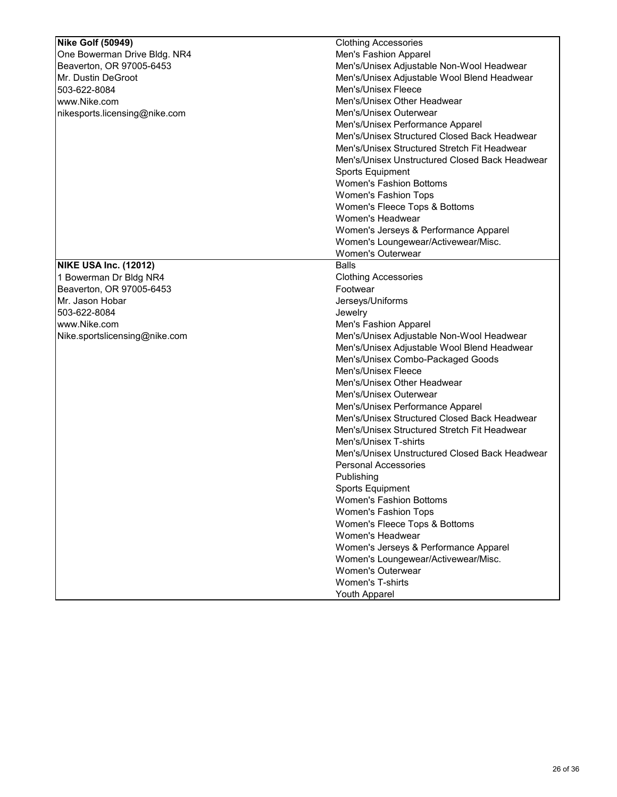| <b>Nike Golf (50949)</b>      | <b>Clothing Accessories</b>                    |
|-------------------------------|------------------------------------------------|
|                               |                                                |
| One Bowerman Drive Bldg. NR4  | Men's Fashion Apparel                          |
| Beaverton, OR 97005-6453      | Men's/Unisex Adjustable Non-Wool Headwear      |
| Mr. Dustin DeGroot            | Men's/Unisex Adjustable Wool Blend Headwear    |
| 503-622-8084                  | Men's/Unisex Fleece                            |
| www.Nike.com                  | Men's/Unisex Other Headwear                    |
| nikesports.licensing@nike.com | Men's/Unisex Outerwear                         |
|                               | Men's/Unisex Performance Apparel               |
|                               | Men's/Unisex Structured Closed Back Headwear   |
|                               | Men's/Unisex Structured Stretch Fit Headwear   |
|                               | Men's/Unisex Unstructured Closed Back Headwear |
|                               | <b>Sports Equipment</b>                        |
|                               | <b>Women's Fashion Bottoms</b>                 |
|                               | Women's Fashion Tops                           |
|                               | Women's Fleece Tops & Bottoms                  |
|                               | Women's Headwear                               |
|                               | Women's Jerseys & Performance Apparel          |
|                               | Women's Loungewear/Activewear/Misc.            |
|                               | <b>Women's Outerwear</b>                       |
| <b>NIKE USA Inc. (12012)</b>  | <b>Balls</b>                                   |
| 1 Bowerman Dr Bldg NR4        | <b>Clothing Accessories</b>                    |
| Beaverton, OR 97005-6453      | Footwear                                       |
| Mr. Jason Hobar               | Jerseys/Uniforms                               |
| 503-622-8084                  | Jewelry                                        |
| www.Nike.com                  | Men's Fashion Apparel                          |
|                               |                                                |
| Nike.sportslicensing@nike.com | Men's/Unisex Adjustable Non-Wool Headwear      |
|                               | Men's/Unisex Adjustable Wool Blend Headwear    |
|                               | Men's/Unisex Combo-Packaged Goods              |
|                               | Men's/Unisex Fleece                            |
|                               | Men's/Unisex Other Headwear                    |
|                               | Men's/Unisex Outerwear                         |
|                               | Men's/Unisex Performance Apparel               |
|                               | Men's/Unisex Structured Closed Back Headwear   |
|                               | Men's/Unisex Structured Stretch Fit Headwear   |
|                               | Men's/Unisex T-shirts                          |
|                               | Men's/Unisex Unstructured Closed Back Headwear |
|                               | <b>Personal Accessories</b>                    |
|                               | Publishing                                     |
|                               | <b>Sports Equipment</b>                        |
|                               | <b>Women's Fashion Bottoms</b>                 |
|                               | Women's Fashion Tops                           |
|                               | Women's Fleece Tops & Bottoms                  |
|                               | Women's Headwear                               |
|                               | Women's Jerseys & Performance Apparel          |
|                               | Women's Loungewear/Activewear/Misc.            |
|                               | <b>Women's Outerwear</b>                       |
|                               | Women's T-shirts                               |
|                               |                                                |
|                               | Youth Apparel                                  |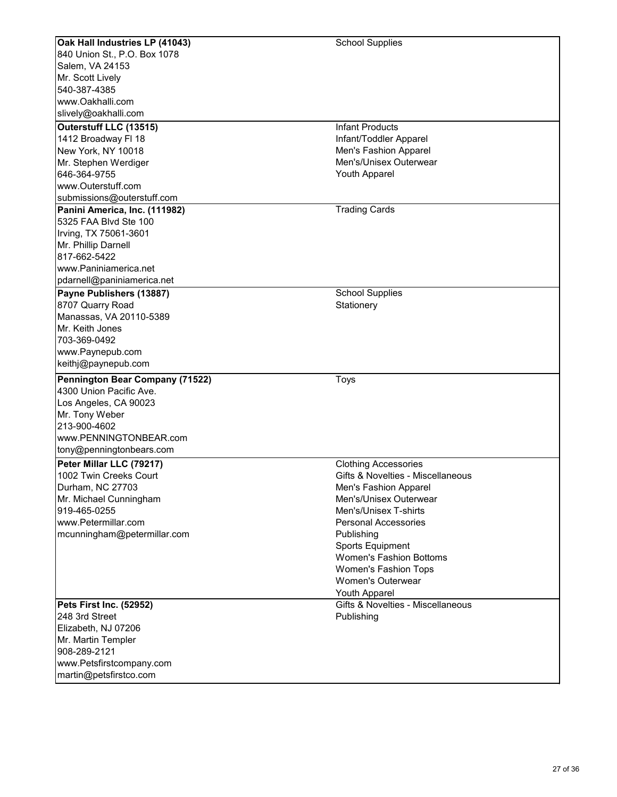| Oak Hall Industries LP (41043)  | <b>School Supplies</b>            |
|---------------------------------|-----------------------------------|
|                                 |                                   |
| 840 Union St., P.O. Box 1078    |                                   |
| Salem, VA 24153                 |                                   |
| Mr. Scott Lively                |                                   |
| 540-387-4385                    |                                   |
| www.Oakhalli.com                |                                   |
| slively@oakhalli.com            |                                   |
| Outerstuff LLC (13515)          | <b>Infant Products</b>            |
| 1412 Broadway FI 18             | Infant/Toddler Apparel            |
| New York, NY 10018              | Men's Fashion Apparel             |
| Mr. Stephen Werdiger            | Men's/Unisex Outerwear            |
| 646-364-9755                    | Youth Apparel                     |
| www.Outerstuff.com              |                                   |
| submissions@outerstuff.com      |                                   |
| Panini America, Inc. (111982)   | <b>Trading Cards</b>              |
| 5325 FAA Blvd Ste 100           |                                   |
|                                 |                                   |
| Irving, TX 75061-3601           |                                   |
| Mr. Phillip Darnell             |                                   |
| 817-662-5422                    |                                   |
| www.Paniniamerica.net           |                                   |
| pdarnell@paniniamerica.net      |                                   |
| Payne Publishers (13887)        | <b>School Supplies</b>            |
| 8707 Quarry Road                | Stationery                        |
| Manassas, VA 20110-5389         |                                   |
| Mr. Keith Jones                 |                                   |
| 703-369-0492                    |                                   |
| www.Paynepub.com                |                                   |
| keithj@paynepub.com             |                                   |
| Pennington Bear Company (71522) | <b>Toys</b>                       |
| 4300 Union Pacific Ave.         |                                   |
| Los Angeles, CA 90023           |                                   |
| Mr. Tony Weber                  |                                   |
| 213-900-4602                    |                                   |
| www.PENNINGTONBEAR.com          |                                   |
| tony@penningtonbears.com        |                                   |
|                                 |                                   |
| Peter Millar LLC (79217)        | <b>Clothing Accessories</b>       |
| 1002 Twin Creeks Court          | Gifts & Novelties - Miscellaneous |
| Durham, NC 27703                | Men's Fashion Apparel             |
| Mr. Michael Cunningham          | Men's/Unisex Outerwear            |
| 919-465-0255                    | Men's/Unisex T-shirts             |
| www.Petermillar.com             | <b>Personal Accessories</b>       |
| mcunningham@petermillar.com     | Publishing                        |
|                                 | <b>Sports Equipment</b>           |
|                                 | <b>Women's Fashion Bottoms</b>    |
|                                 | <b>Women's Fashion Tops</b>       |
|                                 | <b>Women's Outerwear</b>          |
|                                 | Youth Apparel                     |
| Pets First Inc. (52952)         | Gifts & Novelties - Miscellaneous |
| 248 3rd Street                  | Publishing                        |
| Elizabeth, NJ 07206             |                                   |
| Mr. Martin Templer              |                                   |
| 908-289-2121                    |                                   |
| www.Petsfirstcompany.com        |                                   |
| martin@petsfirstco.com          |                                   |
|                                 |                                   |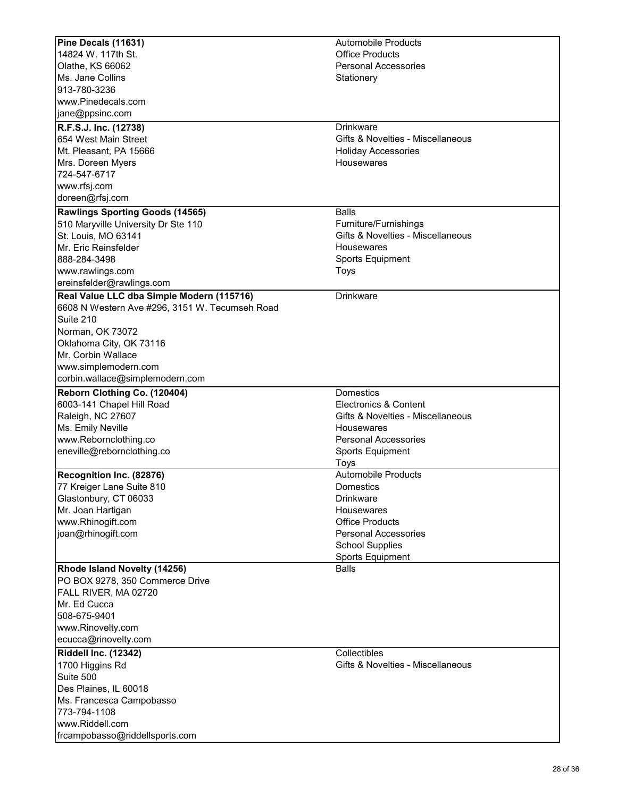| Pine Decals (11631)                            | <b>Automobile Products</b>        |
|------------------------------------------------|-----------------------------------|
| 14824 W. 117th St.                             | <b>Office Products</b>            |
| Olathe, KS 66062                               | <b>Personal Accessories</b>       |
| Ms. Jane Collins                               | Stationery                        |
| 913-780-3236                                   |                                   |
| www.Pinedecals.com                             |                                   |
| jane@ppsinc.com                                |                                   |
| R.F.S.J. Inc. (12738)                          | <b>Drinkware</b>                  |
| 654 West Main Street                           | Gifts & Novelties - Miscellaneous |
| Mt. Pleasant, PA 15666                         | <b>Holiday Accessories</b>        |
|                                                | Housewares                        |
| Mrs. Doreen Myers                              |                                   |
| 724-547-6717                                   |                                   |
| www.rfsj.com                                   |                                   |
| doreen@rfsj.com                                |                                   |
| <b>Rawlings Sporting Goods (14565)</b>         | <b>Balls</b>                      |
| 510 Maryville University Dr Ste 110            | Furniture/Furnishings             |
| St. Louis, MO 63141                            | Gifts & Novelties - Miscellaneous |
| Mr. Eric Reinsfelder                           | <b>Housewares</b>                 |
| 888-284-3498                                   | <b>Sports Equipment</b>           |
| www.rawlings.com                               | Toys                              |
| ereinsfelder@rawlings.com                      |                                   |
| Real Value LLC dba Simple Modern (115716)      | <b>Drinkware</b>                  |
| 6608 N Western Ave #296, 3151 W. Tecumseh Road |                                   |
| Suite 210                                      |                                   |
| Norman, OK 73072                               |                                   |
| Oklahoma City, OK 73116                        |                                   |
| Mr. Corbin Wallace                             |                                   |
| www.simplemodern.com                           |                                   |
| corbin.wallace@simplemodern.com                |                                   |
|                                                |                                   |
| Reborn Clothing Co. (120404)                   | Domestics                         |
| 6003-141 Chapel Hill Road                      | Electronics & Content             |
| Raleigh, NC 27607                              | Gifts & Novelties - Miscellaneous |
| Ms. Emily Neville                              | Housewares                        |
| www.Rebornclothing.co                          | <b>Personal Accessories</b>       |
| eneville@rebornclothing.co                     | Sports Equipment                  |
|                                                | <b>Toys</b>                       |
| Recognition Inc. (82876)                       | <b>Automobile Products</b>        |
| 77 Kreiger Lane Suite 810                      | Domestics                         |
| Glastonbury, CT 06033                          | <b>Drinkware</b>                  |
| Mr. Joan Hartigan                              | <b>Housewares</b>                 |
| www.Rhinogift.com                              | <b>Office Products</b>            |
| joan@rhinogift.com                             | <b>Personal Accessories</b>       |
|                                                | <b>School Supplies</b>            |
|                                                | <b>Sports Equipment</b>           |
| Rhode Island Novelty (14256)                   | <b>Balls</b>                      |
| PO BOX 9278, 350 Commerce Drive                |                                   |
| FALL RIVER, MA 02720                           |                                   |
| Mr. Ed Cucca                                   |                                   |
| 508-675-9401                                   |                                   |
| www.Rinovelty.com                              |                                   |
| ecucca@rinovelty.com                           |                                   |
| Riddell Inc. (12342)                           | Collectibles                      |
| 1700 Higgins Rd                                | Gifts & Novelties - Miscellaneous |
| Suite 500                                      |                                   |
| Des Plaines, IL 60018                          |                                   |
| Ms. Francesca Campobasso                       |                                   |
| 773-794-1108                                   |                                   |
| www.Riddell.com                                |                                   |
| frcampobasso@riddellsports.com                 |                                   |
|                                                |                                   |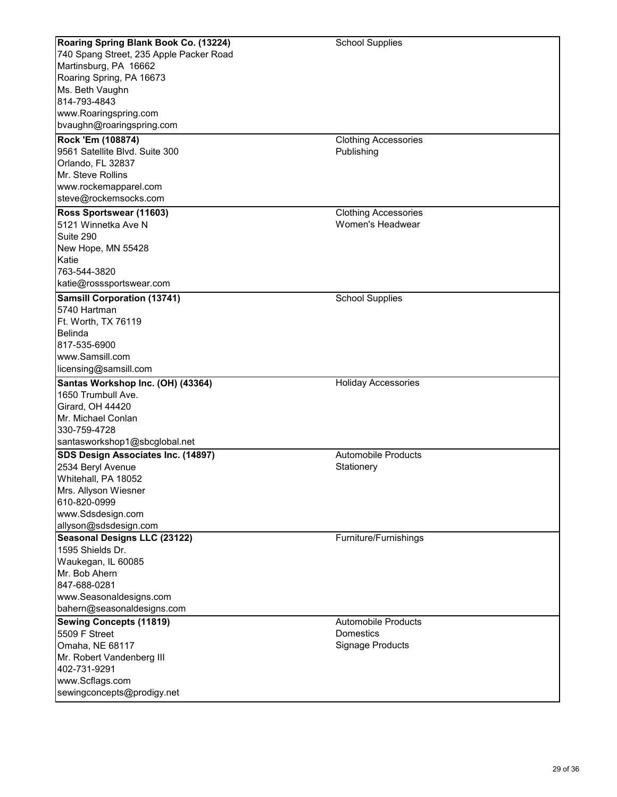| Roaring Spring Blank Book Co. (13224)   | <b>School Supplies</b>      |
|-----------------------------------------|-----------------------------|
| 740 Spang Street, 235 Apple Packer Road |                             |
| Martinsburg, PA 16662                   |                             |
| Roaring Spring, PA 16673                |                             |
| Ms. Beth Vaughn                         |                             |
| 814-793-4843                            |                             |
| www.Roaringspring.com                   |                             |
| bvaughn@roaringspring.com               |                             |
| Rock 'Em (108874)                       | <b>Clothing Accessories</b> |
| 9561 Satellite Blvd. Suite 300          | Publishing                  |
| Orlando, FL 32837                       |                             |
| Mr. Steve Rollins                       |                             |
| www.rockemapparel.com                   |                             |
| steve@rockemsocks.com                   |                             |
| Ross Sportswear (11603)                 | <b>Clothing Accessories</b> |
| 5121 Winnetka Ave N                     | Women's Headwear            |
| Suite 290                               |                             |
| New Hope, MN 55428                      |                             |
| Katie                                   |                             |
| 763-544-3820                            |                             |
| katie@rosssportswear.com                |                             |
|                                         |                             |
| <b>Samsill Corporation (13741)</b>      | <b>School Supplies</b>      |
| 5740 Hartman                            |                             |
| Ft. Worth, TX 76119                     |                             |
| <b>Belinda</b>                          |                             |
| 817-535-6900                            |                             |
| www.Samsill.com                         |                             |
| licensing@samsill.com                   |                             |
| Santas Workshop Inc. (OH) (43364)       | <b>Holiday Accessories</b>  |
| 1650 Trumbull Ave.                      |                             |
| Girard, OH 44420                        |                             |
| Mr. Michael Conlan                      |                             |
| 330-759-4728                            |                             |
| santasworkshop1@sbcglobal.net           |                             |
| SDS Design Associates Inc. (14897)      | <b>Automobile Products</b>  |
| 2534 Beryl Avenue                       | Stationery                  |
| Whitehall, PA 18052                     |                             |
| Mrs. Allyson Wiesner                    |                             |
| 610-820-0999                            |                             |
| www.Sdsdesign.com                       |                             |
| allyson@sdsdesign.com                   |                             |
| <b>Seasonal Designs LLC (23122)</b>     | Furniture/Furnishings       |
| 1595 Shields Dr.                        |                             |
| Waukegan, IL 60085                      |                             |
| Mr. Bob Ahern                           |                             |
| 847-688-0281                            |                             |
| www.Seasonaldesigns.com                 |                             |
| bahern@seasonaldesigns.com              |                             |
| <b>Sewing Concepts (11819)</b>          | <b>Automobile Products</b>  |
| 5509 F Street                           | <b>Domestics</b>            |
| Omaha, NE 68117                         | <b>Signage Products</b>     |
| Mr. Robert Vandenberg III               |                             |
| 402-731-9291                            |                             |
| www.Scflags.com                         |                             |
| sewingconcepts@prodigy.net              |                             |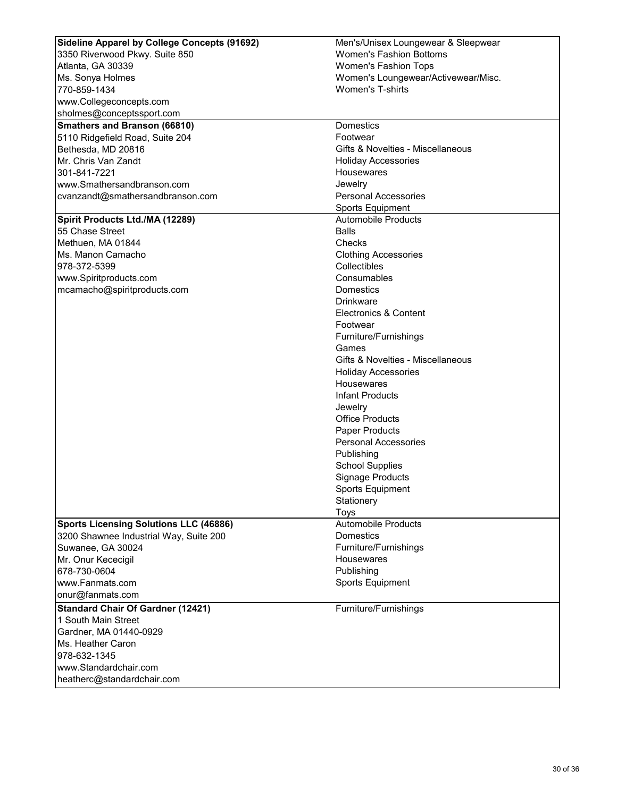| Sideline Apparel by College Concepts (91692)<br>Men's/Unisex Loungewear & Sleepwear<br><b>Women's Fashion Bottoms</b><br>3350 Riverwood Pkwy. Suite 850<br><b>Women's Fashion Tops</b> |  |
|----------------------------------------------------------------------------------------------------------------------------------------------------------------------------------------|--|
|                                                                                                                                                                                        |  |
| Atlanta, GA 30339                                                                                                                                                                      |  |
| Women's Loungewear/Activewear/Misc.<br>Ms. Sonya Holmes                                                                                                                                |  |
| 770-859-1434<br><b>Women's T-shirts</b>                                                                                                                                                |  |
| www.Collegeconcepts.com                                                                                                                                                                |  |
| sholmes@conceptssport.com                                                                                                                                                              |  |
| <b>Smathers and Branson (66810)</b><br><b>Domestics</b>                                                                                                                                |  |
| Footwear<br>5110 Ridgefield Road, Suite 204                                                                                                                                            |  |
| Gifts & Novelties - Miscellaneous<br>Bethesda, MD 20816                                                                                                                                |  |
| Mr. Chris Van Zandt<br><b>Holiday Accessories</b>                                                                                                                                      |  |
| 301-841-7221<br>Housewares                                                                                                                                                             |  |
| www.Smathersandbranson.com<br>Jewelry                                                                                                                                                  |  |
| <b>Personal Accessories</b><br>cvanzandt@smathersandbranson.com                                                                                                                        |  |
| <b>Sports Equipment</b>                                                                                                                                                                |  |
| Spirit Products Ltd./MA (12289)<br><b>Automobile Products</b>                                                                                                                          |  |
| 55 Chase Street<br><b>Balls</b>                                                                                                                                                        |  |
| Methuen, MA 01844<br>Checks                                                                                                                                                            |  |
| Ms. Manon Camacho<br><b>Clothing Accessories</b>                                                                                                                                       |  |
| 978-372-5399<br>Collectibles                                                                                                                                                           |  |
| Consumables                                                                                                                                                                            |  |
| www.Spiritproducts.com<br>Domestics<br>mcamacho@spiritproducts.com                                                                                                                     |  |
| <b>Drinkware</b>                                                                                                                                                                       |  |
| <b>Electronics &amp; Content</b>                                                                                                                                                       |  |
|                                                                                                                                                                                        |  |
| Footwear                                                                                                                                                                               |  |
| Furniture/Furnishings<br>Games                                                                                                                                                         |  |
| Gifts & Novelties - Miscellaneous                                                                                                                                                      |  |
|                                                                                                                                                                                        |  |
| <b>Holiday Accessories</b><br>Housewares                                                                                                                                               |  |
| Infant Products                                                                                                                                                                        |  |
|                                                                                                                                                                                        |  |
| Jewelry                                                                                                                                                                                |  |
| <b>Office Products</b>                                                                                                                                                                 |  |
| Paper Products                                                                                                                                                                         |  |
| <b>Personal Accessories</b>                                                                                                                                                            |  |
| Publishing                                                                                                                                                                             |  |
| <b>School Supplies</b>                                                                                                                                                                 |  |
| <b>Signage Products</b>                                                                                                                                                                |  |
| <b>Sports Equipment</b>                                                                                                                                                                |  |
| Stationery                                                                                                                                                                             |  |
| Toys                                                                                                                                                                                   |  |
| <b>Automobile Products</b><br><b>Sports Licensing Solutions LLC (46886)</b><br>Domestics                                                                                               |  |
| 3200 Shawnee Industrial Way, Suite 200                                                                                                                                                 |  |
| Suwanee, GA 30024<br>Furniture/Furnishings                                                                                                                                             |  |
| Mr. Onur Kececigil<br>Housewares                                                                                                                                                       |  |
| Publishing<br>678-730-0604                                                                                                                                                             |  |
| www.Fanmats.com<br><b>Sports Equipment</b>                                                                                                                                             |  |
| onur@fanmats.com                                                                                                                                                                       |  |
| <b>Standard Chair Of Gardner (12421)</b><br>Furniture/Furnishings                                                                                                                      |  |
| 1 South Main Street                                                                                                                                                                    |  |
| Gardner, MA 01440-0929                                                                                                                                                                 |  |
| Ms. Heather Caron                                                                                                                                                                      |  |
| 978-632-1345                                                                                                                                                                           |  |
| www.Standardchair.com                                                                                                                                                                  |  |
| heatherc@standardchair.com                                                                                                                                                             |  |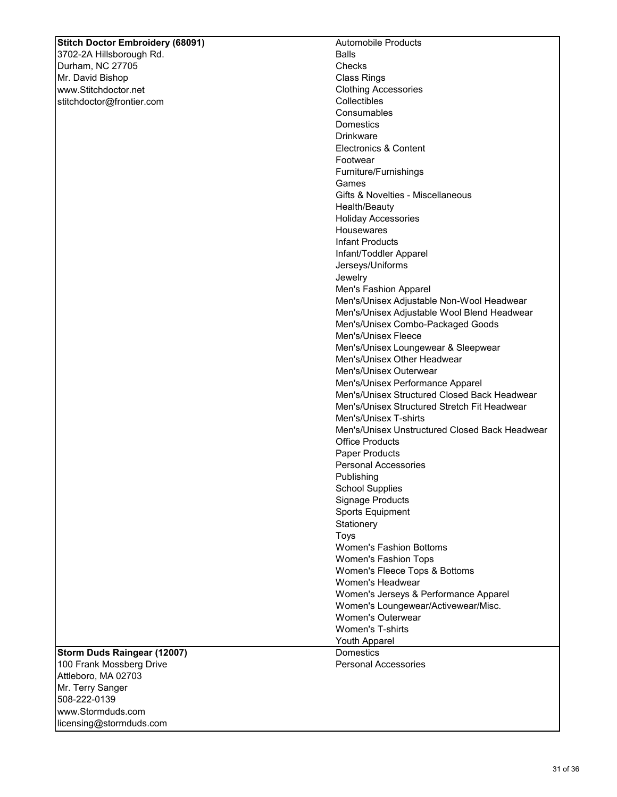# **Stitch Doctor Embroidery (68091)**

3702-2A Hillsborough Rd. Durham, NC 27705 Mr. David Bishop www.Stitchdoctor.net stitchdoctor@frontier.com

| <b>Automobile Products</b>                     |
|------------------------------------------------|
| <b>Balls</b>                                   |
| Checks                                         |
| <b>Class Rings</b>                             |
| <b>Clothing Accessories</b>                    |
| Collectibles                                   |
| Consumables                                    |
| <b>Domestics</b>                               |
| Drinkware                                      |
| <b>Electronics &amp; Content</b>               |
| Footwear                                       |
| Furniture/Furnishings                          |
| Games                                          |
| Gifts & Novelties - Miscellaneous              |
| Health/Beauty                                  |
| <b>Holiday Accessories</b>                     |
| Housewares                                     |
| Infant Products                                |
| Infant/Toddler Apparel                         |
| Jerseys/Uniforms                               |
| Jewelry                                        |
| Men's Fashion Apparel                          |
| Men's/Unisex Adjustable Non-Wool Headwear      |
| Men's/Unisex Adjustable Wool Blend Headwear    |
| Men's/Unisex Combo-Packaged Goods              |
| Men's/Unisex Fleece                            |
| Men's/Unisex Loungewear & Sleepwear            |
| Men's/Unisex Other Headwear                    |
| Men's/Unisex Outerwear                         |
| Men's/Unisex Performance Apparel               |
| Men's/Unisex Structured Closed Back Headwear   |
| Men's/Unisex Structured Stretch Fit Headwear   |
| Men's/Unisex T-shirts                          |
| Men's/Unisex Unstructured Closed Back Headwear |
| <b>Office Products</b>                         |
| <b>Paper Products</b>                          |
| <b>Personal Accessories</b>                    |
| Publishing                                     |
| <b>School Supplies</b>                         |
| Signage Products                               |
| <b>Sports Equipment</b>                        |
| Stationery                                     |
| Toys                                           |
| <b>Women's Fashion Bottoms</b>                 |
| <b>Women's Fashion Tops</b>                    |
| Women's Fleece Tops & Bottoms                  |
| Women's Headwear                               |
| Women's Jerseys & Performance Apparel          |
| Women's Loungewear/Activewear/Misc.            |
| <b>Women's Outerwear</b>                       |
| <b>Women's T-shirts</b>                        |
| <b>Youth Apparel</b>                           |
| Domestics                                      |
| <b>Personal Accessories</b>                    |
|                                                |

**Storm Duds Raingear (12007)**  100 Frank Mossberg Drive Attleboro, MA 02703 Mr. Terry Sanger 508-222-0139 www.Stormduds.com licensing@stormduds.com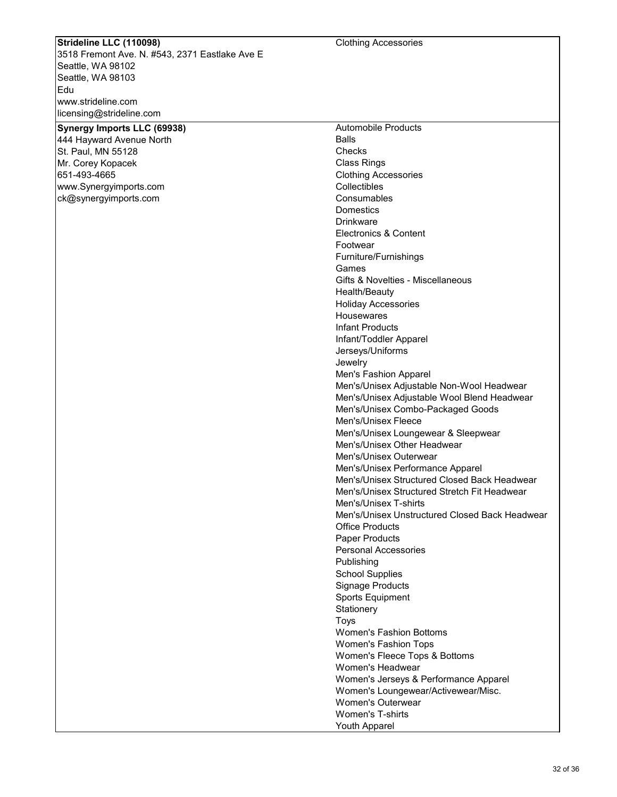## **Strideline LLC (110098)**

3518 Fremont Ave. N. #543, 2371 Eastlake Ave E Seattle, WA 98102 Seattle, WA 98103 Edu www.strideline.com licensing@strideline.com

| Synergy Imports LLC (69938) |
|-----------------------------|
| 444 Hayward Avenue North    |
| St. Paul, MN 55128          |
| Mr. Corey Kopacek           |
| 651-493-4665                |
| www.Synergyimports.com      |
| ck@synergyimports.com       |
|                             |
|                             |
|                             |

Automobile Products Balls **Checks** Class Rings Clothing Accessories Collectibles **Consumables Domestics Drinkware** Electronics & Content Footwear Furniture/Furnishings Games Gifts & Novelties - Miscellaneous Health/Beauty Holiday Accessories **Housewares** Infant Products Infant/Toddler Apparel Jerseys/Uniforms Jewelry Men's Fashion Apparel Men's/Unisex Adjustable Non-Wool Headwear Men's/Unisex Adjustable Wool Blend Headwear Men's/Unisex Combo-Packaged Goods Men's/Unisex Fleece Men's/Unisex Loungewear & Sleepwear Men's/Unisex Other Headwear Men's/Unisex Outerwear Men's/Unisex Performance Apparel Men's/Unisex Structured Closed Back Headwear Men's/Unisex Structured Stretch Fit Headwear Men's/Unisex T-shirts Men's/Unisex Unstructured Closed Back Headwear Office Products Paper Products Personal Accessories Publishing School Supplies Signage Products Sports Equipment **Stationery** Toys Women's Fashion Bottoms Women's Fashion Tops Women's Fleece Tops & Bottoms Women's Headwear Women's Jerseys & Performance Apparel Women's Loungewear/Activewear/Misc. Women's Outerwear Women's T-shirts Youth Apparel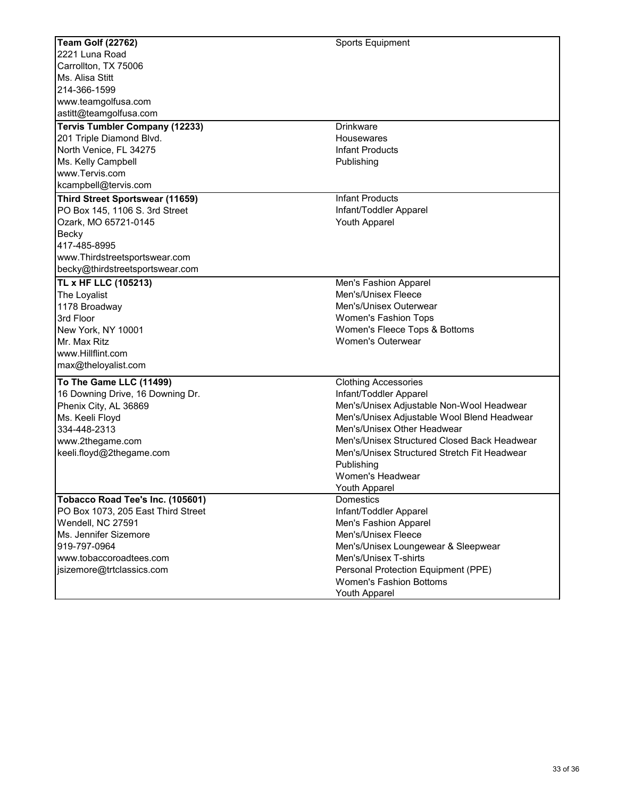| <b>Team Golf (22762)</b>               | Sports Equipment                             |
|----------------------------------------|----------------------------------------------|
| 2221 Luna Road                         |                                              |
| Carrollton, TX 75006                   |                                              |
| Ms. Alisa Stitt                        |                                              |
| 214-366-1599                           |                                              |
| www.teamgolfusa.com                    |                                              |
| astitt@teamgolfusa.com                 |                                              |
| <b>Tervis Tumbler Company (12233)</b>  | <b>Drinkware</b>                             |
| 201 Triple Diamond Blvd.               | Housewares                                   |
| North Venice, FL 34275                 | <b>Infant Products</b>                       |
| Ms. Kelly Campbell                     | Publishing                                   |
| www.Tervis.com                         |                                              |
| kcampbell@tervis.com                   |                                              |
| <b>Third Street Sportswear (11659)</b> | <b>Infant Products</b>                       |
| PO Box 145, 1106 S. 3rd Street         | Infant/Toddler Apparel                       |
| Ozark, MO 65721-0145                   | Youth Apparel                                |
| Becky                                  |                                              |
| 417-485-8995                           |                                              |
| www.Thirdstreetsportswear.com          |                                              |
| becky@thirdstreetsportswear.com        |                                              |
|                                        |                                              |
| TL x HF LLC (105213)                   | Men's Fashion Apparel                        |
| The Loyalist                           | Men's/Unisex Fleece                          |
| 1178 Broadway                          | Men's/Unisex Outerwear                       |
| 3rd Floor                              | Women's Fashion Tops                         |
| New York, NY 10001                     | Women's Fleece Tops & Bottoms                |
| Mr. Max Ritz                           | <b>Women's Outerwear</b>                     |
| www.Hillflint.com                      |                                              |
| max@theloyalist.com                    |                                              |
| To The Game LLC (11499)                | <b>Clothing Accessories</b>                  |
| 16 Downing Drive, 16 Downing Dr.       | Infant/Toddler Apparel                       |
| Phenix City, AL 36869                  | Men's/Unisex Adjustable Non-Wool Headwear    |
| Ms. Keeli Floyd                        | Men's/Unisex Adjustable Wool Blend Headwear  |
| 334-448-2313                           | Men's/Unisex Other Headwear                  |
| www.2thegame.com                       | Men's/Unisex Structured Closed Back Headwear |
| keeli.floyd@2thegame.com               | Men's/Unisex Structured Stretch Fit Headwear |
|                                        | Publishing                                   |
|                                        | Women's Headwear                             |
|                                        | Youth Apparel                                |
| Tobacco Road Tee's Inc. (105601)       | <b>Domestics</b>                             |
| PO Box 1073, 205 East Third Street     | Infant/Toddler Apparel                       |
| Wendell, NC 27591                      | Men's Fashion Apparel                        |
| Ms. Jennifer Sizemore                  | Men's/Unisex Fleece                          |
| 919-797-0964                           | Men's/Unisex Loungewear & Sleepwear          |
| www.tobaccoroadtees.com                | Men's/Unisex T-shirts                        |
| jsizemore@trtclassics.com              | Personal Protection Equipment (PPE)          |
|                                        | <b>Women's Fashion Bottoms</b>               |
|                                        | Youth Apparel                                |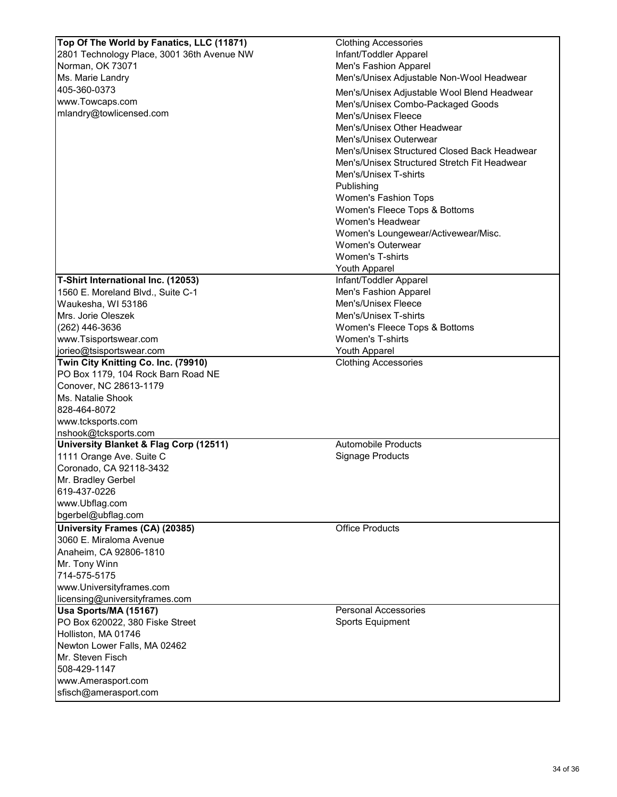| Top Of The World by Fanatics, LLC (11871)         | <b>Clothing Accessories</b>                  |
|---------------------------------------------------|----------------------------------------------|
| 2801 Technology Place, 3001 36th Avenue NW        | Infant/Toddler Apparel                       |
| Norman, OK 73071                                  | Men's Fashion Apparel                        |
| Ms. Marie Landry                                  | Men's/Unisex Adjustable Non-Wool Headwear    |
| 405-360-0373                                      |                                              |
| www.Towcaps.com                                   | Men's/Unisex Adjustable Wool Blend Headwear  |
| mlandry@towlicensed.com                           | Men's/Unisex Combo-Packaged Goods            |
|                                                   | Men's/Unisex Fleece                          |
|                                                   | Men's/Unisex Other Headwear                  |
|                                                   | Men's/Unisex Outerwear                       |
|                                                   | Men's/Unisex Structured Closed Back Headwear |
|                                                   | Men's/Unisex Structured Stretch Fit Headwear |
|                                                   | Men's/Unisex T-shirts                        |
|                                                   | Publishing                                   |
|                                                   | Women's Fashion Tops                         |
|                                                   | Women's Fleece Tops & Bottoms                |
|                                                   | Women's Headwear                             |
|                                                   | Women's Loungewear/Activewear/Misc.          |
|                                                   | <b>Women's Outerwear</b>                     |
|                                                   | <b>Women's T-shirts</b>                      |
|                                                   | <b>Youth Apparel</b>                         |
| T-Shirt International Inc. (12053)                | Infant/Toddler Apparel                       |
| 1560 E. Moreland Blvd., Suite C-1                 | Men's Fashion Apparel                        |
| Waukesha, WI 53186                                | Men's/Unisex Fleece                          |
| Mrs. Jorie Oleszek                                | Men's/Unisex T-shirts                        |
| (262) 446-3636                                    | Women's Fleece Tops & Bottoms                |
| www.Tsisportswear.com                             | Women's T-shirts                             |
| jorieo@tsisportswear.com                          | <b>Youth Apparel</b>                         |
| Twin City Knitting Co. Inc. (79910)               | <b>Clothing Accessories</b>                  |
| PO Box 1179, 104 Rock Barn Road NE                |                                              |
| Conover, NC 28613-1179                            |                                              |
| Ms. Natalie Shook                                 |                                              |
| 828-464-8072                                      |                                              |
| www.tcksports.com                                 |                                              |
| nshook@tcksports.com                              |                                              |
| <b>University Blanket &amp; Flag Corp (12511)</b> | <b>Automobile Products</b>                   |
| 1111 Orange Ave. Suite C                          | Signage Products                             |
| Coronado, CA 92118-3432                           |                                              |
| Mr. Bradley Gerbel                                |                                              |
| 619-437-0226                                      |                                              |
| www.Ubflag.com                                    |                                              |
| bgerbel@ubflag.com                                |                                              |
| University Frames (CA) (20385)                    | <b>Office Products</b>                       |
| 3060 E. Miraloma Avenue                           |                                              |
| Anaheim, CA 92806-1810                            |                                              |
| Mr. Tony Winn                                     |                                              |
| 714-575-5175                                      |                                              |
| www.Universityframes.com                          |                                              |
| licensing@universityframes.com                    |                                              |
| Usa Sports/MA (15167)                             | <b>Personal Accessories</b>                  |
| PO Box 620022, 380 Fiske Street                   | <b>Sports Equipment</b>                      |
| Holliston, MA 01746                               |                                              |
| Newton Lower Falls, MA 02462                      |                                              |
| Mr. Steven Fisch                                  |                                              |
| 508-429-1147                                      |                                              |
| www.Amerasport.com                                |                                              |
| sfisch@amerasport.com                             |                                              |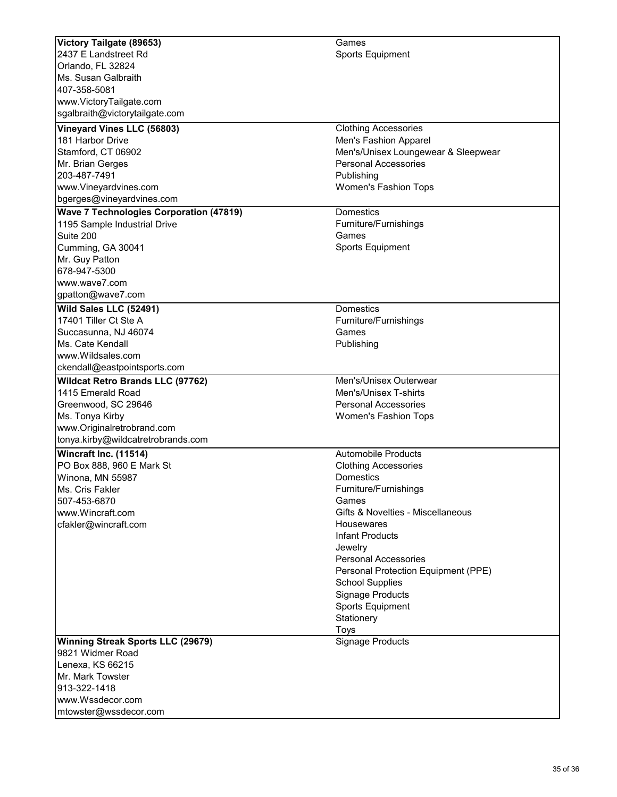| Victory Tailgate (89653)                       | Games                                                |
|------------------------------------------------|------------------------------------------------------|
| 2437 E Landstreet Rd                           | <b>Sports Equipment</b>                              |
| Orlando, FL 32824                              |                                                      |
| Ms. Susan Galbraith                            |                                                      |
| 407-358-5081                                   |                                                      |
| www.VictoryTailgate.com                        |                                                      |
| sgalbraith@victorytailgate.com                 |                                                      |
| Vineyard Vines LLC (56803)                     |                                                      |
| 181 Harbor Drive                               | <b>Clothing Accessories</b><br>Men's Fashion Apparel |
| Stamford, CT 06902                             | Men's/Unisex Loungewear & Sleepwear                  |
|                                                | <b>Personal Accessories</b>                          |
| Mr. Brian Gerges<br>203-487-7491               | Publishing                                           |
|                                                | <b>Women's Fashion Tops</b>                          |
| www.Vineyardvines.com                          |                                                      |
| bgerges@vineyardvines.com                      |                                                      |
| <b>Wave 7 Technologies Corporation (47819)</b> | Domestics                                            |
| 1195 Sample Industrial Drive                   | Furniture/Furnishings                                |
| Suite 200                                      | Games                                                |
| Cumming, GA 30041                              | <b>Sports Equipment</b>                              |
| Mr. Guy Patton                                 |                                                      |
| 678-947-5300                                   |                                                      |
| www.wave7.com                                  |                                                      |
| gpatton@wave7.com                              |                                                      |
| Wild Sales LLC (52491)                         | <b>Domestics</b>                                     |
| 17401 Tiller Ct Ste A                          | Furniture/Furnishings                                |
| Succasunna, NJ 46074                           | Games                                                |
| Ms. Cate Kendall                               | Publishing                                           |
| www.Wildsales.com                              |                                                      |
| ckendall@eastpointsports.com                   |                                                      |
| <b>Wildcat Retro Brands LLC (97762)</b>        | Men's/Unisex Outerwear                               |
| 1415 Emerald Road                              | Men's/Unisex T-shirts                                |
| Greenwood, SC 29646                            | <b>Personal Accessories</b>                          |
| Ms. Tonya Kirby                                | <b>Women's Fashion Tops</b>                          |
| www.Originalretrobrand.com                     |                                                      |
| tonya.kirby@wildcatretrobrands.com             |                                                      |
| Wincraft Inc. (11514)                          | <b>Automobile Products</b>                           |
| PO Box 888, 960 E Mark St                      | <b>Clothing Accessories</b>                          |
| Winona, MN 55987                               | Domestics                                            |
| Ms. Cris Fakler                                | Furniture/Furnishings                                |
| 507-453-6870                                   | Games                                                |
| www.Wincraft.com                               | Gifts & Novelties - Miscellaneous                    |
| cfakler@wincraft.com                           | <b>Housewares</b>                                    |
|                                                | <b>Infant Products</b>                               |
|                                                | Jewelry                                              |
|                                                | <b>Personal Accessories</b>                          |
|                                                | Personal Protection Equipment (PPE)                  |
|                                                | <b>School Supplies</b>                               |
|                                                | Signage Products                                     |
|                                                | <b>Sports Equipment</b>                              |
|                                                | Stationery                                           |
|                                                | Toys                                                 |
| <b>Winning Streak Sports LLC (29679)</b>       | <b>Signage Products</b>                              |
| 9821 Widmer Road                               |                                                      |
| Lenexa, KS 66215                               |                                                      |
| Mr. Mark Towster                               |                                                      |
| 913-322-1418                                   |                                                      |
| www.Wssdecor.com                               |                                                      |
| mtowster@wssdecor.com                          |                                                      |